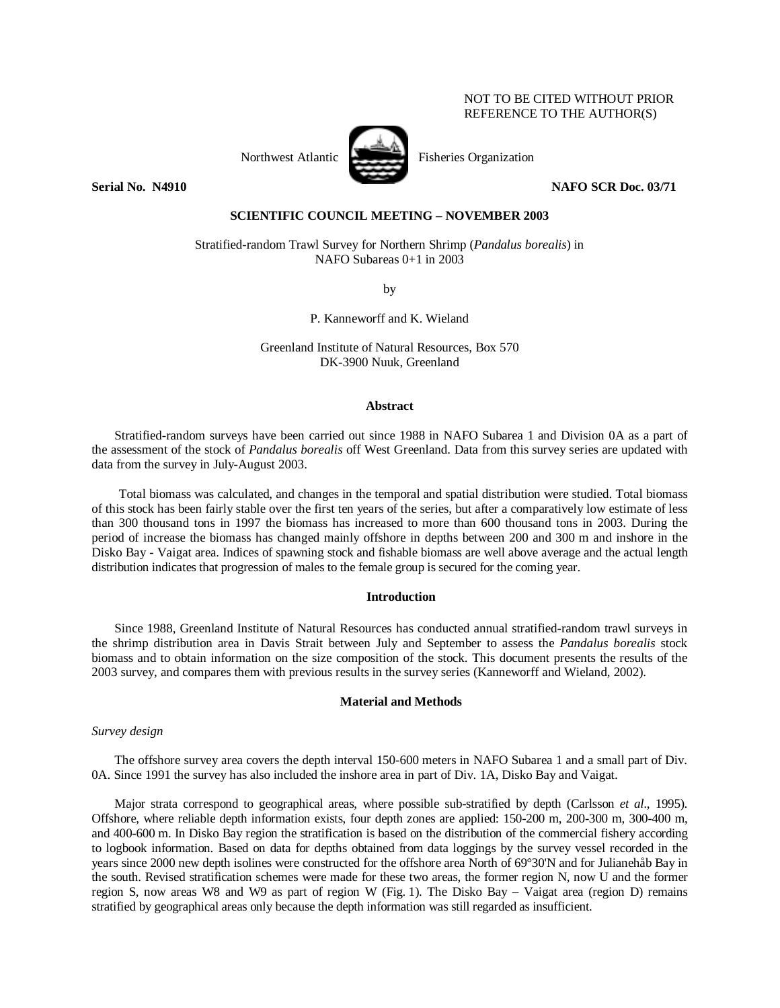# NOT TO BE CITED WITHOUT PRIOR REFERENCE TO THE AUTHOR(S)



Northwest Atlantic Fisheries Organization

**Serial No. N4910 NAFO SCR Doc. 03/71** 

# **SCIENTIFIC COUNCIL MEETING – NOVEMBER 2003**

Stratified-random Trawl Survey for Northern Shrimp (*Pandalus borealis*) in NAFO Subareas 0+1 in 2003

by

P. Kanneworff and K. Wieland

Greenland Institute of Natural Resources, Box 570 DK-3900 Nuuk, Greenland

## **Abstract**

Stratified-random surveys have been carried out since 1988 in NAFO Subarea 1 and Division 0A as a part of the assessment of the stock of *Pandalus borealis* off West Greenland. Data from this survey series are updated with data from the survey in July-August 2003.

Total biomass was calculated, and changes in the temporal and spatial distribution were studied. Total biomass of this stock has been fairly stable over the first ten years of the series, but after a comparatively low estimate of less than 300 thousand tons in 1997 the biomass has increased to more than 600 thousand tons in 2003. During the period of increase the biomass has changed mainly offshore in depths between 200 and 300 m and inshore in the Disko Bay - Vaigat area. Indices of spawning stock and fishable biomass are well above average and the actual length distribution indicates that progression of males to the female group is secured for the coming year.

## **Introduction**

Since 1988, Greenland Institute of Natural Resources has conducted annual stratified-random trawl surveys in the shrimp distribution area in Davis Strait between July and September to assess the *Pandalus borealis* stock biomass and to obtain information on the size composition of the stock. This document presents the results of the 2003 survey, and compares them with previous results in the survey series (Kanneworff and Wieland, 2002).

## **Material and Methods**

*Survey design* 

The offshore survey area covers the depth interval 150-600 meters in NAFO Subarea 1 and a small part of Div. 0A. Since 1991 the survey has also included the inshore area in part of Div. 1A, Disko Bay and Vaigat.

Major strata correspond to geographical areas, where possible sub-stratified by depth (Carlsson *et al*., 1995). Offshore, where reliable depth information exists, four depth zones are applied: 150-200 m, 200-300 m, 300-400 m, and 400-600 m. In Disko Bay region the stratification is based on the distribution of the commercial fishery according to logbook information. Based on data for depths obtained from data loggings by the survey vessel recorded in the years since 2000 new depth isolines were constructed for the offshore area North of 69°30'N and for Julianehåb Bay in the south. Revised stratification schemes were made for these two areas, the former region N, now U and the former region S, now areas W8 and W9 as part of region W (Fig. 1). The Disko Bay – Vaigat area (region D) remains stratified by geographical areas only because the depth information was still regarded as insufficient.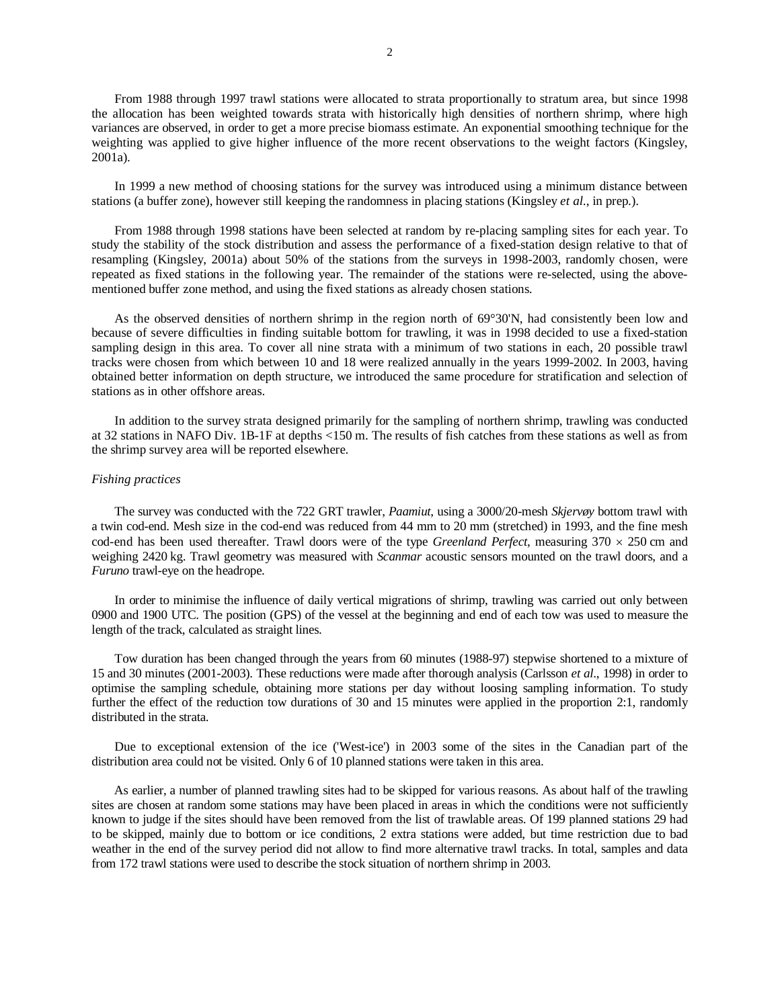From 1988 through 1997 trawl stations were allocated to strata proportionally to stratum area, but since 1998 the allocation has been weighted towards strata with historically high densities of northern shrimp, where high variances are observed, in order to get a more precise biomass estimate. An exponential smoothing technique for the weighting was applied to give higher influence of the more recent observations to the weight factors (Kingsley, 2001a).

In 1999 a new method of choosing stations for the survey was introduced using a minimum distance between stations (a buffer zone), however still keeping the randomness in placing stations (Kingsley *et al*., in prep.).

From 1988 through 1998 stations have been selected at random by re-placing sampling sites for each year. To study the stability of the stock distribution and assess the performance of a fixed-station design relative to that of resampling (Kingsley, 2001a) about 50% of the stations from the surveys in 1998-2003, randomly chosen, were repeated as fixed stations in the following year. The remainder of the stations were re-selected, using the abovementioned buffer zone method, and using the fixed stations as already chosen stations.

As the observed densities of northern shrimp in the region north of  $69^{\circ}30'N$ , had consistently been low and because of severe difficulties in finding suitable bottom for trawling, it was in 1998 decided to use a fixed-station sampling design in this area. To cover all nine strata with a minimum of two stations in each, 20 possible trawl tracks were chosen from which between 10 and 18 were realized annually in the years 1999-2002. In 2003, having obtained better information on depth structure, we introduced the same procedure for stratification and selection of stations as in other offshore areas.

In addition to the survey strata designed primarily for the sampling of northern shrimp, trawling was conducted at 32 stations in NAFO Div. 1B-1F at depths <150 m. The results of fish catches from these stations as well as from the shrimp survey area will be reported elsewhere.

#### *Fishing practices*

The survey was conducted with the 722 GRT trawler, *Paamiut*, using a 3000/20-mesh *Skjervøy* bottom trawl with a twin cod-end. Mesh size in the cod-end was reduced from 44 mm to 20 mm (stretched) in 1993, and the fine mesh cod-end has been used thereafter. Trawl doors were of the type *Greenland Perfect*, measuring  $370 \times 250$  cm and weighing 2420 kg. Trawl geometry was measured with *Scanmar* acoustic sensors mounted on the trawl doors, and a *Furuno* trawl-eye on the headrope.

In order to minimise the influence of daily vertical migrations of shrimp, trawling was carried out only between 0900 and 1900 UTC. The position (GPS) of the vessel at the beginning and end of each tow was used to measure the length of the track, calculated as straight lines.

Tow duration has been changed through the years from 60 minutes (1988-97) stepwise shortened to a mixture of 15 and 30 minutes (2001-2003). These reductions were made after thorough analysis (Carlsson *et al*., 1998) in order to optimise the sampling schedule, obtaining more stations per day without loosing sampling information. To study further the effect of the reduction tow durations of 30 and 15 minutes were applied in the proportion 2:1, randomly distributed in the strata.

Due to exceptional extension of the ice ('West-ice') in 2003 some of the sites in the Canadian part of the distribution area could not be visited. Only 6 of 10 planned stations were taken in this area.

As earlier, a number of planned trawling sites had to be skipped for various reasons. As about half of the trawling sites are chosen at random some stations may have been placed in areas in which the conditions were not sufficiently known to judge if the sites should have been removed from the list of trawlable areas. Of 199 planned stations 29 had to be skipped, mainly due to bottom or ice conditions, 2 extra stations were added, but time restriction due to bad weather in the end of the survey period did not allow to find more alternative trawl tracks. In total, samples and data from 172 trawl stations were used to describe the stock situation of northern shrimp in 2003.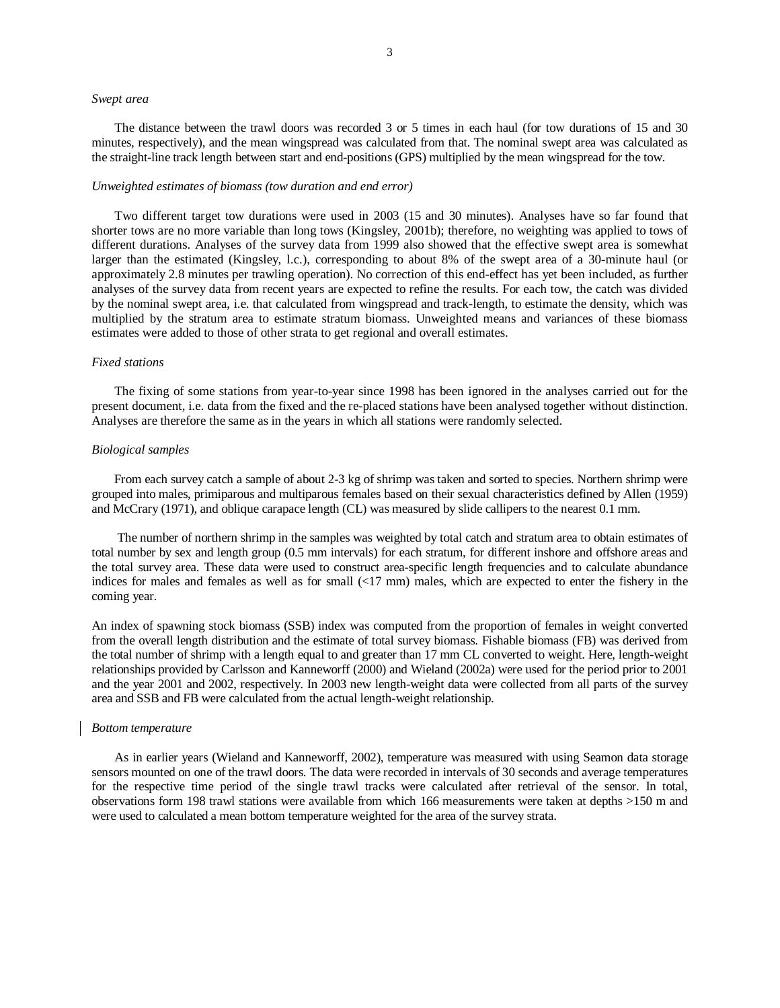## *Swept area*

The distance between the trawl doors was recorded 3 or 5 times in each haul (for tow durations of 15 and 30 minutes, respectively), and the mean wingspread was calculated from that. The nominal swept area was calculated as the straight-line track length between start and end-positions (GPS) multiplied by the mean wingspread for the tow.

## *Unweighted estimates of biomass (tow duration and end error)*

Two different target tow durations were used in 2003 (15 and 30 minutes). Analyses have so far found that shorter tows are no more variable than long tows (Kingsley, 2001b); therefore, no weighting was applied to tows of different durations. Analyses of the survey data from 1999 also showed that the effective swept area is somewhat larger than the estimated (Kingsley, l.c.), corresponding to about 8% of the swept area of a 30-minute haul (or approximately 2.8 minutes per trawling operation). No correction of this end-effect has yet been included, as further analyses of the survey data from recent years are expected to refine the results. For each tow, the catch was divided by the nominal swept area, i.e. that calculated from wingspread and track-length, to estimate the density, which was multiplied by the stratum area to estimate stratum biomass. Unweighted means and variances of these biomass estimates were added to those of other strata to get regional and overall estimates.

## *Fixed stations*

The fixing of some stations from year-to-year since 1998 has been ignored in the analyses carried out for the present document, i.e. data from the fixed and the re-placed stations have been analysed together without distinction. Analyses are therefore the same as in the years in which all stations were randomly selected.

## *Biological samples*

From each survey catch a sample of about 2-3 kg of shrimp was taken and sorted to species. Northern shrimp were grouped into males, primiparous and multiparous females based on their sexual characteristics defined by Allen (1959) and McCrary (1971), and oblique carapace length (CL) was measured by slide callipers to the nearest 0.1 mm.

 The number of northern shrimp in the samples was weighted by total catch and stratum area to obtain estimates of total number by sex and length group (0.5 mm intervals) for each stratum, for different inshore and offshore areas and the total survey area. These data were used to construct area-specific length frequencies and to calculate abundance indices for males and females as well as for small (<17 mm) males, which are expected to enter the fishery in the coming year.

An index of spawning stock biomass (SSB) index was computed from the proportion of females in weight converted from the overall length distribution and the estimate of total survey biomass. Fishable biomass (FB) was derived from the total number of shrimp with a length equal to and greater than 17 mm CL converted to weight. Here, length-weight relationships provided by Carlsson and Kanneworff (2000) and Wieland (2002a) were used for the period prior to 2001 and the year 2001 and 2002, respectively. In 2003 new length-weight data were collected from all parts of the survey area and SSB and FB were calculated from the actual length-weight relationship.

## *Bottom temperature*

As in earlier years (Wieland and Kanneworff, 2002), temperature was measured with using Seamon data storage sensors mounted on one of the trawl doors. The data were recorded in intervals of 30 seconds and average temperatures for the respective time period of the single trawl tracks were calculated after retrieval of the sensor. In total, observations form 198 trawl stations were available from which 166 measurements were taken at depths >150 m and were used to calculated a mean bottom temperature weighted for the area of the survey strata.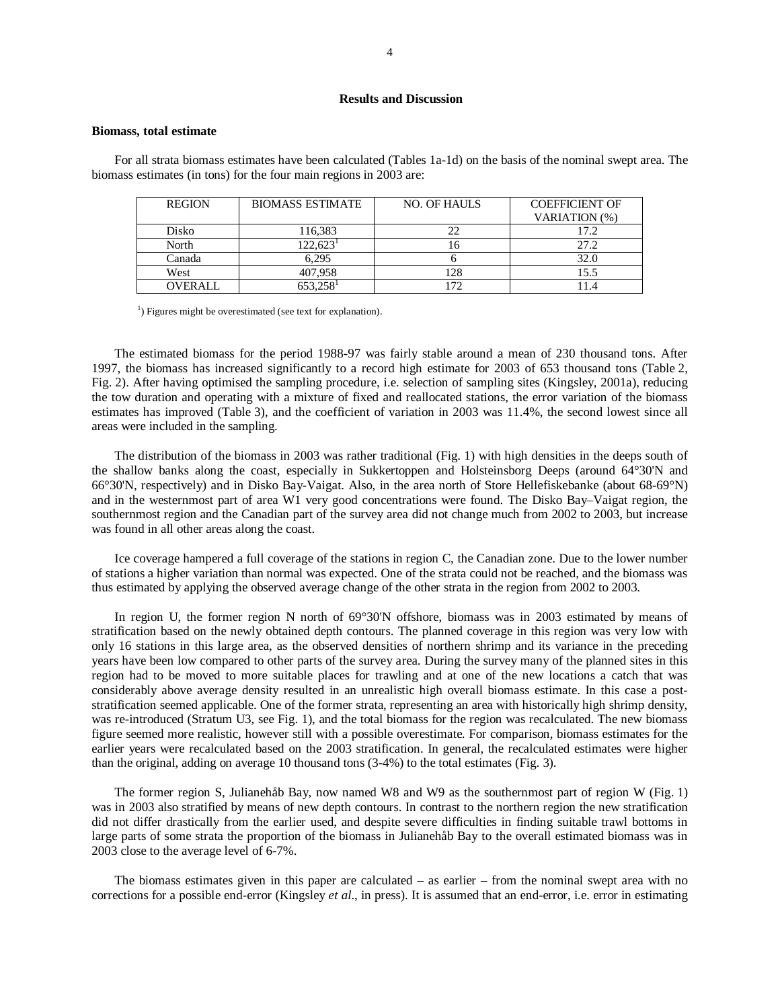## **Results and Discussion**

#### **Biomass, total estimate**

For all strata biomass estimates have been calculated (Tables 1a-1d) on the basis of the nominal swept area. The biomass estimates (in tons) for the four main regions in 2003 are:

| <b>REGION</b>  | <b>BIOMASS ESTIMATE</b> | NO. OF HAULS | <b>COEFFICIENT OF</b> |
|----------------|-------------------------|--------------|-----------------------|
|                |                         |              | VARIATION (%)         |
| Disko          | 116,383                 | 22           | 17.2                  |
| North          | $122.623^1$             |              | 27.2                  |
| Canada         | 6.295                   |              | 32.0                  |
| West           | 407,958                 | 128          | 15.5                  |
| <b>)VERALL</b> | $653.258$ <sup>1</sup>  |              |                       |

 1  $<sup>1</sup>$ ) Figures might be overestimated (see text for explanation).</sup>

The estimated biomass for the period 1988-97 was fairly stable around a mean of 230 thousand tons. After 1997, the biomass has increased significantly to a record high estimate for 2003 of 653 thousand tons (Table 2, Fig. 2). After having optimised the sampling procedure, i.e. selection of sampling sites (Kingsley, 2001a), reducing the tow duration and operating with a mixture of fixed and reallocated stations, the error variation of the biomass estimates has improved (Table 3), and the coefficient of variation in 2003 was 11.4%, the second lowest since all areas were included in the sampling.

The distribution of the biomass in 2003 was rather traditional (Fig. 1) with high densities in the deeps south of the shallow banks along the coast, especially in Sukkertoppen and Holsteinsborg Deeps (around 64°30'N and 66°30'N, respectively) and in Disko Bay-Vaigat. Also, in the area north of Store Hellefiskebanke (about 68-69°N) and in the westernmost part of area W1 very good concentrations were found. The Disko Bay–Vaigat region, the southernmost region and the Canadian part of the survey area did not change much from 2002 to 2003, but increase was found in all other areas along the coast.

Ice coverage hampered a full coverage of the stations in region C, the Canadian zone. Due to the lower number of stations a higher variation than normal was expected. One of the strata could not be reached, and the biomass was thus estimated by applying the observed average change of the other strata in the region from 2002 to 2003.

In region U, the former region N north of 69°30'N offshore, biomass was in 2003 estimated by means of stratification based on the newly obtained depth contours. The planned coverage in this region was very low with only 16 stations in this large area, as the observed densities of northern shrimp and its variance in the preceding years have been low compared to other parts of the survey area. During the survey many of the planned sites in this region had to be moved to more suitable places for trawling and at one of the new locations a catch that was considerably above average density resulted in an unrealistic high overall biomass estimate. In this case a poststratification seemed applicable. One of the former strata, representing an area with historically high shrimp density, was re-introduced (Stratum U3, see Fig. 1), and the total biomass for the region was recalculated. The new biomass figure seemed more realistic, however still with a possible overestimate. For comparison, biomass estimates for the earlier years were recalculated based on the 2003 stratification. In general, the recalculated estimates were higher than the original, adding on average 10 thousand tons (3-4%) to the total estimates (Fig. 3).

The former region S, Julianehåb Bay, now named W8 and W9 as the southernmost part of region W (Fig. 1) was in 2003 also stratified by means of new depth contours. In contrast to the northern region the new stratification did not differ drastically from the earlier used, and despite severe difficulties in finding suitable trawl bottoms in large parts of some strata the proportion of the biomass in Julianehåb Bay to the overall estimated biomass was in 2003 close to the average level of 6-7%.

The biomass estimates given in this paper are calculated – as earlier – from the nominal swept area with no corrections for a possible end-error (Kingsley *et al*., in press). It is assumed that an end-error, i.e. error in estimating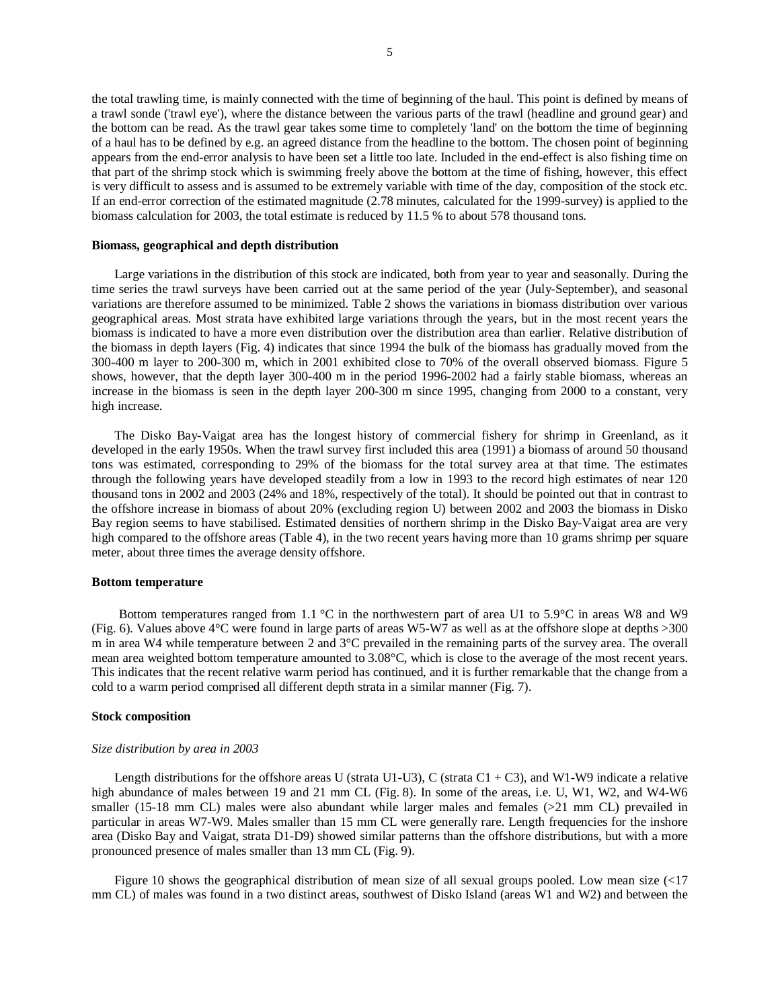the total trawling time, is mainly connected with the time of beginning of the haul. This point is defined by means of a trawl sonde ('trawl eye'), where the distance between the various parts of the trawl (headline and ground gear) and the bottom can be read. As the trawl gear takes some time to completely 'land' on the bottom the time of beginning of a haul has to be defined by e.g. an agreed distance from the headline to the bottom. The chosen point of beginning appears from the end-error analysis to have been set a little too late. Included in the end-effect is also fishing time on that part of the shrimp stock which is swimming freely above the bottom at the time of fishing, however, this effect is very difficult to assess and is assumed to be extremely variable with time of the day, composition of the stock etc. If an end-error correction of the estimated magnitude (2.78 minutes, calculated for the 1999-survey) is applied to the biomass calculation for 2003, the total estimate is reduced by 11.5 % to about 578 thousand tons.

## **Biomass, geographical and depth distribution**

Large variations in the distribution of this stock are indicated, both from year to year and seasonally. During the time series the trawl surveys have been carried out at the same period of the year (July-September), and seasonal variations are therefore assumed to be minimized. Table 2 shows the variations in biomass distribution over various geographical areas. Most strata have exhibited large variations through the years, but in the most recent years the biomass is indicated to have a more even distribution over the distribution area than earlier. Relative distribution of the biomass in depth layers (Fig. 4) indicates that since 1994 the bulk of the biomass has gradually moved from the 300-400 m layer to 200-300 m, which in 2001 exhibited close to 70% of the overall observed biomass. Figure 5 shows, however, that the depth layer 300-400 m in the period 1996-2002 had a fairly stable biomass, whereas an increase in the biomass is seen in the depth layer 200-300 m since 1995, changing from 2000 to a constant, very high increase.

The Disko Bay-Vaigat area has the longest history of commercial fishery for shrimp in Greenland, as it developed in the early 1950s. When the trawl survey first included this area (1991) a biomass of around 50 thousand tons was estimated, corresponding to 29% of the biomass for the total survey area at that time. The estimates through the following years have developed steadily from a low in 1993 to the record high estimates of near 120 thousand tons in 2002 and 2003 (24% and 18%, respectively of the total). It should be pointed out that in contrast to the offshore increase in biomass of about 20% (excluding region U) between 2002 and 2003 the biomass in Disko Bay region seems to have stabilised. Estimated densities of northern shrimp in the Disko Bay-Vaigat area are very high compared to the offshore areas (Table 4), in the two recent years having more than 10 grams shrimp per square meter, about three times the average density offshore.

## **Bottom temperature**

Bottom temperatures ranged from 1.1  $\degree$ C in the northwestern part of area U1 to 5.9 $\degree$ C in areas W8 and W9 (Fig. 6). Values above 4°C were found in large parts of areas W5-W7 as well as at the offshore slope at depths >300 m in area W4 while temperature between 2 and 3°C prevailed in the remaining parts of the survey area. The overall mean area weighted bottom temperature amounted to 3.08°C, which is close to the average of the most recent years. This indicates that the recent relative warm period has continued, and it is further remarkable that the change from a cold to a warm period comprised all different depth strata in a similar manner (Fig. 7).

## **Stock composition**

## *Size distribution by area in 2003*

Length distributions for the offshore areas U (strata U1-U3), C (strata C1 + C3), and W1-W9 indicate a relative high abundance of males between 19 and 21 mm CL (Fig. 8). In some of the areas, i.e. U, W1, W2, and W4-W6 smaller (15-18 mm CL) males were also abundant while larger males and females (>21 mm CL) prevailed in particular in areas W7-W9. Males smaller than 15 mm CL were generally rare. Length frequencies for the inshore area (Disko Bay and Vaigat, strata D1-D9) showed similar patterns than the offshore distributions, but with a more pronounced presence of males smaller than 13 mm CL (Fig. 9).

Figure 10 shows the geographical distribution of mean size of all sexual groups pooled. Low mean size (<17 mm CL) of males was found in a two distinct areas, southwest of Disko Island (areas W1 and W2) and between the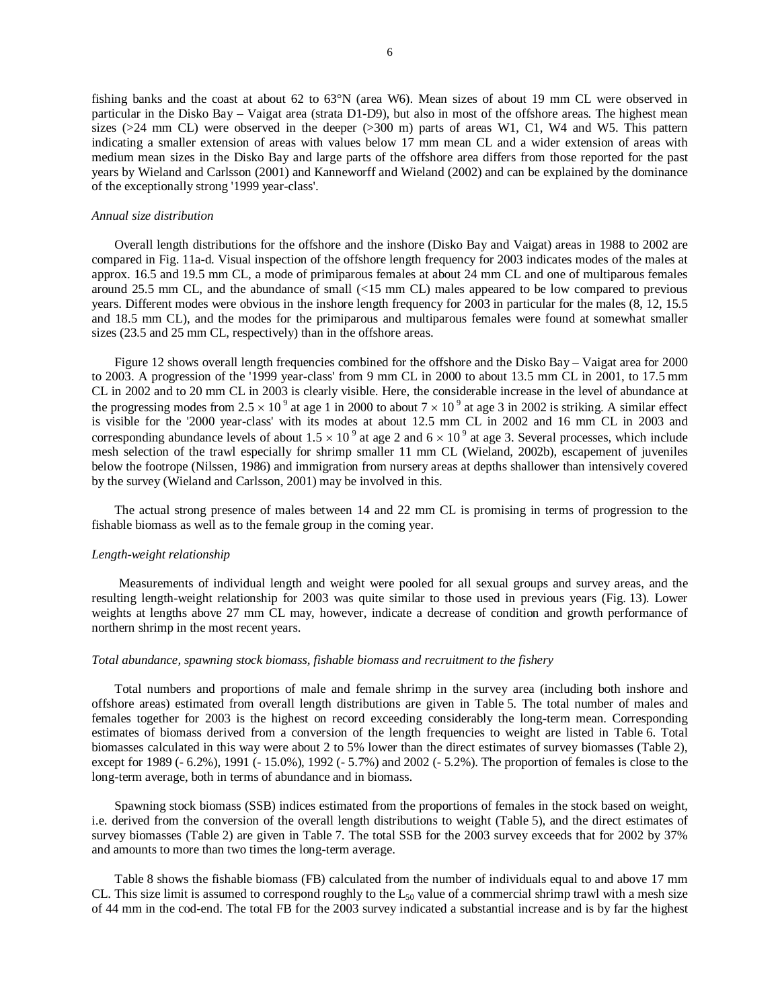fishing banks and the coast at about 62 to 63°N (area W6). Mean sizes of about 19 mm CL were observed in particular in the Disko Bay – Vaigat area (strata D1-D9), but also in most of the offshore areas. The highest mean sizes ( $>24$  mm CL) were observed in the deeper ( $>300$  m) parts of areas W1, C1, W4 and W5. This pattern indicating a smaller extension of areas with values below 17 mm mean CL and a wider extension of areas with medium mean sizes in the Disko Bay and large parts of the offshore area differs from those reported for the past years by Wieland and Carlsson (2001) and Kanneworff and Wieland (2002) and can be explained by the dominance of the exceptionally strong '1999 year-class'.

#### *Annual size distribution*

Overall length distributions for the offshore and the inshore (Disko Bay and Vaigat) areas in 1988 to 2002 are compared in Fig. 11a-d. Visual inspection of the offshore length frequency for 2003 indicates modes of the males at approx. 16.5 and 19.5 mm CL, a mode of primiparous females at about 24 mm CL and one of multiparous females around 25.5 mm CL, and the abundance of small (<15 mm CL) males appeared to be low compared to previous years. Different modes were obvious in the inshore length frequency for 2003 in particular for the males (8, 12, 15.5 and 18.5 mm CL), and the modes for the primiparous and multiparous females were found at somewhat smaller sizes (23.5 and 25 mm CL, respectively) than in the offshore areas.

Figure 12 shows overall length frequencies combined for the offshore and the Disko Bay – Vaigat area for 2000 to 2003. A progression of the '1999 year-class' from 9 mm CL in 2000 to about 13.5 mm CL in 2001, to 17.5 mm CL in 2002 and to 20 mm CL in 2003 is clearly visible. Here, the considerable increase in the level of abundance at the progressing modes from  $2.5 \times 10^9$  at age 1 in 2000 to about  $7 \times 10^9$  at age 3 in 2002 is striking. A similar effect is visible for the '2000 year-class' with its modes at about 12.5 mm CL in 2002 and 16 mm CL in 2003 and corresponding abundance levels of about  $1.5 \times 10^9$  at age 2 and  $6 \times 10^9$  at age 3. Several processes, which include mesh selection of the trawl especially for shrimp smaller 11 mm CL (Wieland, 2002b), escapement of juveniles below the footrope (Nilssen, 1986) and immigration from nursery areas at depths shallower than intensively covered by the survey (Wieland and Carlsson, 2001) may be involved in this.

The actual strong presence of males between 14 and 22 mm CL is promising in terms of progression to the fishable biomass as well as to the female group in the coming year.

#### *Length-weight relationship*

Measurements of individual length and weight were pooled for all sexual groups and survey areas, and the resulting length-weight relationship for 2003 was quite similar to those used in previous years (Fig. 13). Lower weights at lengths above 27 mm CL may, however, indicate a decrease of condition and growth performance of northern shrimp in the most recent years.

## *Total abundance, spawning stock biomass, fishable biomass and recruitment to the fishery*

Total numbers and proportions of male and female shrimp in the survey area (including both inshore and offshore areas) estimated from overall length distributions are given in Table 5. The total number of males and females together for 2003 is the highest on record exceeding considerably the long-term mean. Corresponding estimates of biomass derived from a conversion of the length frequencies to weight are listed in Table 6. Total biomasses calculated in this way were about 2 to 5% lower than the direct estimates of survey biomasses (Table 2), except for 1989 (- 6.2%), 1991 (- 15.0%), 1992 (- 5.7%) and 2002 (- 5.2%). The proportion of females is close to the long-term average, both in terms of abundance and in biomass.

Spawning stock biomass (SSB) indices estimated from the proportions of females in the stock based on weight, i.e. derived from the conversion of the overall length distributions to weight (Table 5), and the direct estimates of survey biomasses (Table 2) are given in Table 7. The total SSB for the 2003 survey exceeds that for 2002 by 37% and amounts to more than two times the long-term average.

Table 8 shows the fishable biomass (FB) calculated from the number of individuals equal to and above 17 mm CL. This size limit is assumed to correspond roughly to the  $L_{50}$  value of a commercial shrimp trawl with a mesh size of 44 mm in the cod-end. The total FB for the 2003 survey indicated a substantial increase and is by far the highest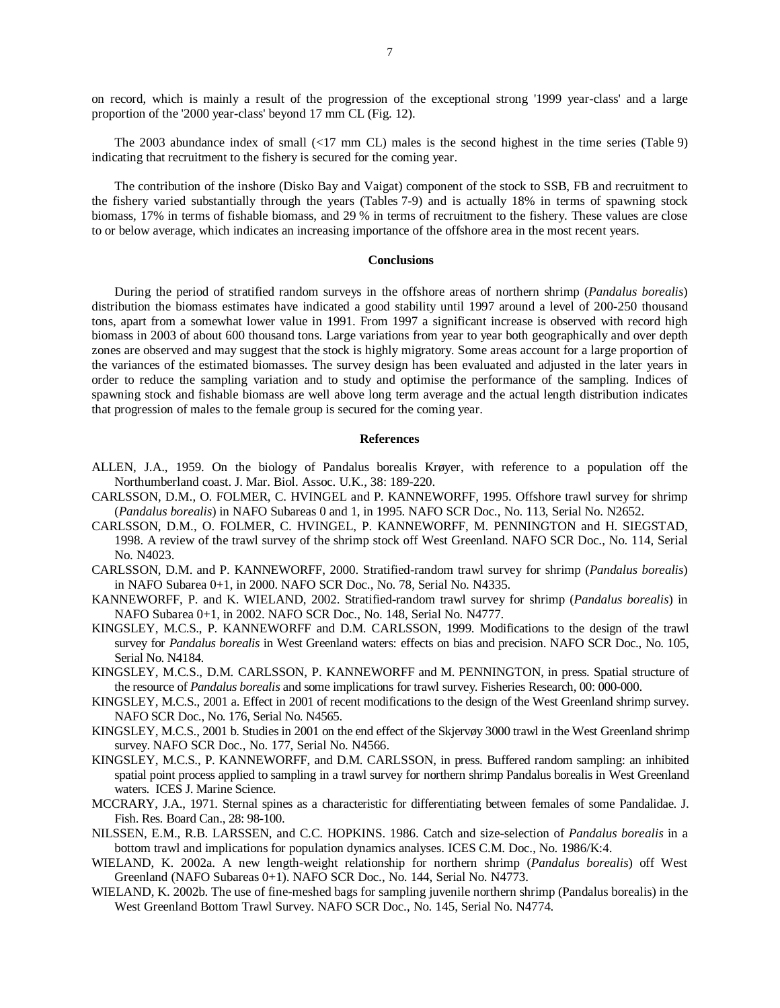on record, which is mainly a result of the progression of the exceptional strong '1999 year-class' and a large proportion of the '2000 year-class' beyond 17 mm CL (Fig. 12).

The 2003 abundance index of small (<17 mm CL) males is the second highest in the time series (Table 9) indicating that recruitment to the fishery is secured for the coming year.

The contribution of the inshore (Disko Bay and Vaigat) component of the stock to SSB, FB and recruitment to the fishery varied substantially through the years (Tables 7-9) and is actually 18% in terms of spawning stock biomass, 17% in terms of fishable biomass, and 29 % in terms of recruitment to the fishery. These values are close to or below average, which indicates an increasing importance of the offshore area in the most recent years.

## **Conclusions**

During the period of stratified random surveys in the offshore areas of northern shrimp (*Pandalus borealis*) distribution the biomass estimates have indicated a good stability until 1997 around a level of 200-250 thousand tons, apart from a somewhat lower value in 1991. From 1997 a significant increase is observed with record high biomass in 2003 of about 600 thousand tons. Large variations from year to year both geographically and over depth zones are observed and may suggest that the stock is highly migratory. Some areas account for a large proportion of the variances of the estimated biomasses. The survey design has been evaluated and adjusted in the later years in order to reduce the sampling variation and to study and optimise the performance of the sampling. Indices of spawning stock and fishable biomass are well above long term average and the actual length distribution indicates that progression of males to the female group is secured for the coming year.

## **References**

- ALLEN, J.A., 1959. On the biology of Pandalus borealis Krøyer, with reference to a population off the Northumberland coast. J. Mar. Biol. Assoc. U.K., 38: 189-220.
- CARLSSON, D.M., O. FOLMER, C. HVINGEL and P. KANNEWORFF, 1995. Offshore trawl survey for shrimp (*Pandalus borealis*) in NAFO Subareas 0 and 1, in 1995. NAFO SCR Doc., No. 113, Serial No. N2652.
- CARLSSON, D.M., O. FOLMER, C. HVINGEL, P. KANNEWORFF, M. PENNINGTON and H. SIEGSTAD, 1998. A review of the trawl survey of the shrimp stock off West Greenland. NAFO SCR Doc., No. 114, Serial No. N4023.
- CARLSSON, D.M. and P. KANNEWORFF, 2000. Stratified-random trawl survey for shrimp (*Pandalus borealis*) in NAFO Subarea 0+1, in 2000. NAFO SCR Doc., No. 78, Serial No. N4335.
- KANNEWORFF, P. and K. WIELAND, 2002. Stratified-random trawl survey for shrimp (*Pandalus borealis*) in NAFO Subarea 0+1, in 2002. NAFO SCR Doc., No. 148, Serial No. N4777.
- KINGSLEY, M.C.S., P. KANNEWORFF and D.M. CARLSSON, 1999. Modifications to the design of the trawl survey for *Pandalus borealis* in West Greenland waters: effects on bias and precision. NAFO SCR Doc., No. 105, Serial No. N4184.
- KINGSLEY, M.C.S., D.M. CARLSSON, P. KANNEWORFF and M. PENNINGTON, in press. Spatial structure of the resource of *Pandalus borealis* and some implications for trawl survey. Fisheries Research, 00: 000-000.
- KINGSLEY, M.C.S., 2001 a. Effect in 2001 of recent modifications to the design of the West Greenland shrimp survey. NAFO SCR Doc., No. 176, Serial No. N4565.
- KINGSLEY, M.C.S., 2001 b. Studies in 2001 on the end effect of the Skjervøy 3000 trawl in the West Greenland shrimp survey. NAFO SCR Doc., No. 177, Serial No. N4566.
- KINGSLEY, M.C.S., P. KANNEWORFF, and D.M. CARLSSON, in press. Buffered random sampling: an inhibited spatial point process applied to sampling in a trawl survey for northern shrimp Pandalus borealis in West Greenland waters. ICES J. Marine Science.
- MCCRARY, J.A., 1971. Sternal spines as a characteristic for differentiating between females of some Pandalidae. J. Fish. Res. Board Can., 28: 98-100.
- NILSSEN, E.M., R.B. LARSSEN, and C.C. HOPKINS. 1986. Catch and size-selection of *Pandalus borealis* in a bottom trawl and implications for population dynamics analyses. ICES C.M. Doc., No. 1986/K:4.
- WIELAND, K. 2002a. A new length-weight relationship for northern shrimp (*Pandalus borealis*) off West Greenland (NAFO Subareas 0+1). NAFO SCR Doc., No. 144, Serial No. N4773.
- WIELAND, K. 2002b. The use of fine-meshed bags for sampling juvenile northern shrimp (Pandalus borealis) in the West Greenland Bottom Trawl Survey. NAFO SCR Doc., No. 145, Serial No. N4774.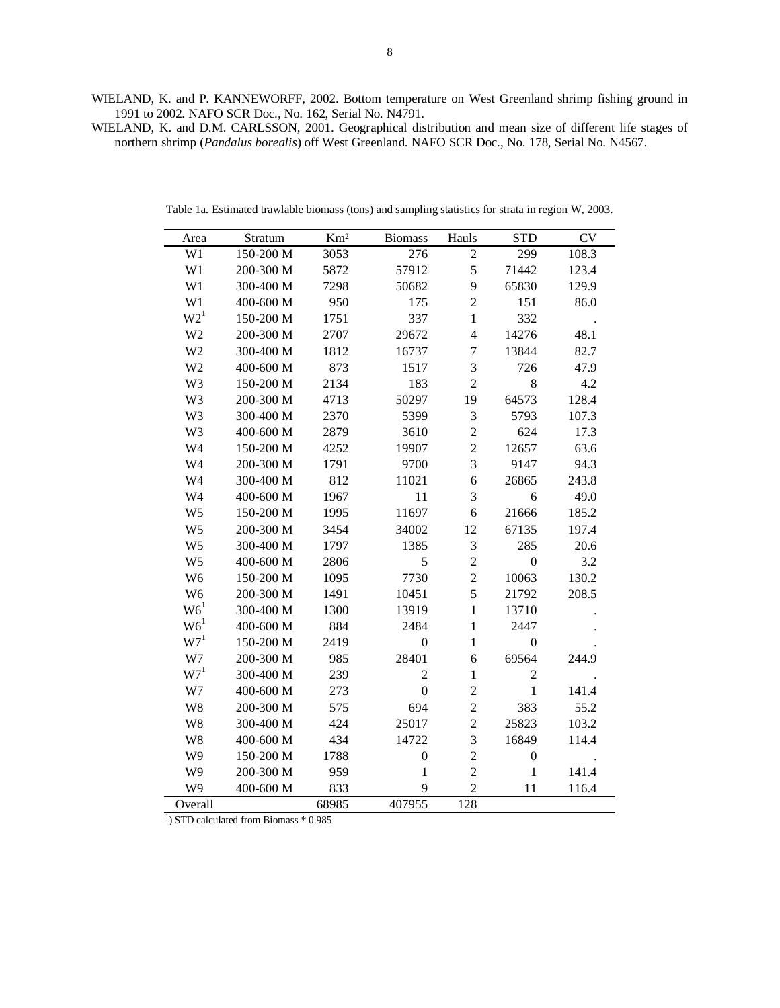WIELAND, K. and P. KANNEWORFF, 2002. Bottom temperature on West Greenland shrimp fishing ground in 1991 to 2002. NAFO SCR Doc., No. 162, Serial No. N4791.

WIELAND, K. and D.M. CARLSSON, 2001. Geographical distribution and mean size of different life stages of northern shrimp (*Pandalus borealis*) off West Greenland. NAFO SCR Doc., No. 178, Serial No. N4567.

| Area            | Stratum   | Km <sup>2</sup> | <b>Biomass</b>   | Hauls          | <b>STD</b>       | <b>CV</b> |
|-----------------|-----------|-----------------|------------------|----------------|------------------|-----------|
| W1              | 150-200 M | 3053            | 276              | $\overline{2}$ | 299              | 108.3     |
| W1              | 200-300 M | 5872            | 57912            | 5              | 71442            | 123.4     |
| W1              | 300-400 M | 7298            | 50682            | 9              | 65830            | 129.9     |
| W1              | 400-600 M | 950             | 175              | $\overline{c}$ | 151              | 86.0      |
| W2 <sup>1</sup> | 150-200 M | 1751            | 337              | $\mathbf{1}$   | 332              |           |
| W <sub>2</sub>  | 200-300 M | 2707            | 29672            | $\overline{4}$ | 14276            | 48.1      |
| W <sub>2</sub>  | 300-400 M | 1812            | 16737            | $\tau$         | 13844            | 82.7      |
| W <sub>2</sub>  | 400-600 M | 873             | 1517             | 3              | 726              | 47.9      |
| W <sub>3</sub>  | 150-200 M | 2134            | 183              | $\overline{c}$ | 8                | 4.2       |
| W <sub>3</sub>  | 200-300 M | 4713            | 50297            | 19             | 64573            | 128.4     |
| W <sub>3</sub>  | 300-400 M | 2370            | 5399             | 3              | 5793             | 107.3     |
| W3              | 400-600 M | 2879            | 3610             | $\overline{c}$ | 624              | 17.3      |
| W4              | 150-200 M | 4252            | 19907            | $\overline{2}$ | 12657            | 63.6      |
| W4              | 200-300 M | 1791            | 9700             | 3              | 9147             | 94.3      |
| W4              | 300-400 M | 812             | 11021            | 6              | 26865            | 243.8     |
| W <sub>4</sub>  | 400-600 M | 1967            | 11               | 3              | 6                | 49.0      |
| W <sub>5</sub>  | 150-200 M | 1995            | 11697            | $\sqrt{6}$     | 21666            | 185.2     |
| W <sub>5</sub>  | 200-300 M | 3454            | 34002            | 12             | 67135            | 197.4     |
| W <sub>5</sub>  | 300-400 M | 1797            | 1385             | 3              | 285              | 20.6      |
| W <sub>5</sub>  | 400-600 M | 2806            | 5                | $\overline{c}$ | $\boldsymbol{0}$ | 3.2       |
| W <sub>6</sub>  | 150-200 M | 1095            | 7730             | $\overline{2}$ | 10063            | 130.2     |
| W <sub>6</sub>  | 200-300 M | 1491            | 10451            | 5              | 21792            | 208.5     |
| W6 <sup>1</sup> | 300-400 M | 1300            | 13919            | $\mathbf{1}$   | 13710            |           |
| W6 <sup>1</sup> | 400-600 M | 884             | 2484             | $\mathbf{1}$   | 2447             |           |
| W7 <sup>1</sup> | 150-200 M | 2419            | $\boldsymbol{0}$ | $\mathbf{1}$   | $\boldsymbol{0}$ |           |
| W7              | 200-300 M | 985             | 28401            | 6              | 69564            | 244.9     |
| $W7^1$          | 300-400 M | 239             | $\overline{c}$   | $\mathbf{1}$   | $\overline{c}$   |           |
| W7              | 400-600 M | 273             | $\boldsymbol{0}$ | $\overline{c}$ | $\mathbf{1}$     | 141.4     |
| W <sub>8</sub>  | 200-300 M | 575             | 694              | $\overline{c}$ | 383              | 55.2      |
| W <sub>8</sub>  | 300-400 M | 424             | 25017            | $\overline{c}$ | 25823            | 103.2     |
| W <sub>8</sub>  | 400-600 M | 434             | 14722            | 3              | 16849            | 114.4     |
| W9              | 150-200 M | 1788            | $\boldsymbol{0}$ | $\overline{2}$ | $\boldsymbol{0}$ |           |
| W9              | 200-300 M | 959             | $\mathbf{1}$     | $\overline{c}$ | $\mathbf{1}$     | 141.4     |
| W9              | 400-600 M | 833             | 9                | $\overline{2}$ | 11               | 116.4     |
| Overall         |           | 68985           | 407955           | 128            |                  |           |

Table 1a. Estimated trawlable biomass (tons) and sampling statistics for strata in region W, 2003.

<sup>1</sup>) STD calculated from Biomass \* 0.985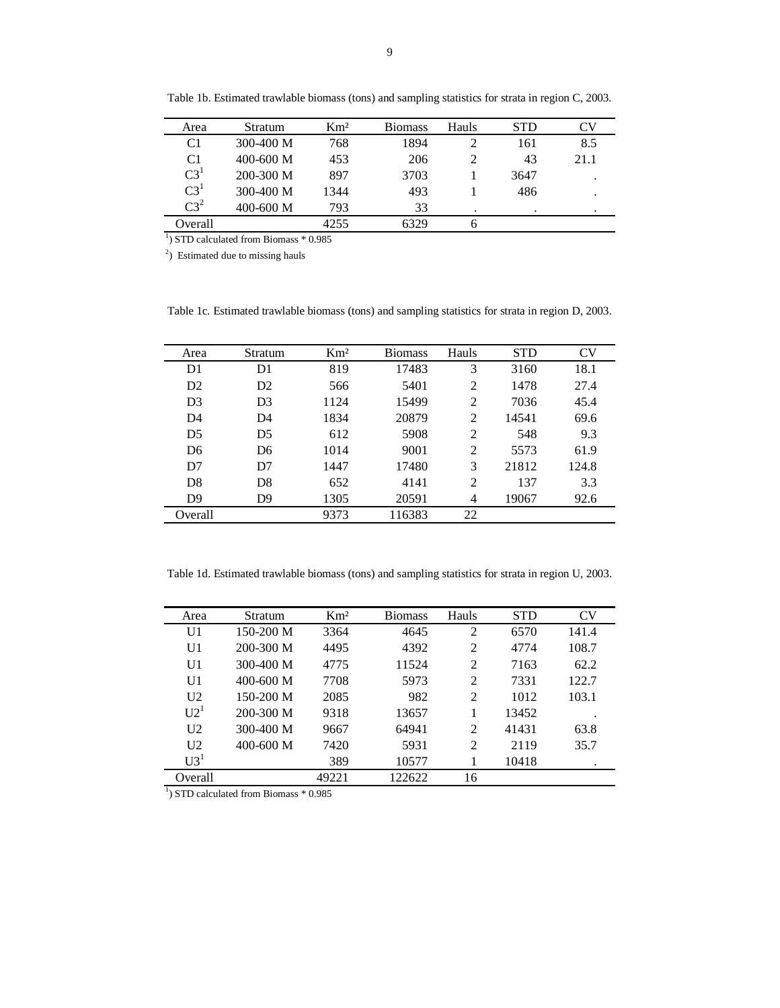| Area           | Stratum       | $\mathrm{Km}^2$ | <b>Biomass</b> | Hauls | <b>STD</b> | $\mathop{^\sim}\nolimits$ V |
|----------------|---------------|-----------------|----------------|-------|------------|-----------------------------|
| C1             | $300-400$ M   | 768             | 1894           |       | 161        | 8.5                         |
| C <sub>1</sub> | $400 - 600$ M | 453             | 206            |       | 43         | 21.1                        |
| $C3^1$         | $200 - 300$ M | 897             | 3703           |       | 3647       |                             |
| $C3^1$         | $300-400$ M   | 1344            | 493            |       | 486        |                             |
| $C3^2$         | $400 - 600$ M | 793             | 33             |       |            |                             |
| Overall        |               | 4255            | 6329           |       |            |                             |

Table 1b. Estimated trawlable biomass (tons) and sampling statistics for strata in region C, 2003.

<sup>1</sup>) STD calculated from Biomass \* 0.985

 $^{2}$ ) Estimated due to missing hauls

Table 1c. Estimated trawlable biomass (tons) and sampling statistics for strata in region D, 2003.

| Area           | Stratum        | $\mathrm{Km}^2$ | <b>Biomass</b> | Hauls          | <b>STD</b> | CV    |
|----------------|----------------|-----------------|----------------|----------------|------------|-------|
| D <sub>1</sub> | D <sub>1</sub> | 819             | 17483          | 3              | 3160       | 18.1  |
| D <sub>2</sub> | D <sub>2</sub> | 566             | 5401           | 2              | 1478       | 27.4  |
| D <sub>3</sub> | D <sub>3</sub> | 1124            | 15499          | 2              | 7036       | 45.4  |
| D <sub>4</sub> | D <sub>4</sub> | 1834            | 20879          | 2              | 14541      | 69.6  |
| D <sub>5</sub> | D <sub>5</sub> | 612             | 5908           | 2              | 548        | 9.3   |
| D <sub>6</sub> | D <sub>6</sub> | 1014            | 9001           | 2              | 5573       | 61.9  |
| D7             | D7             | 1447            | 17480          | 3              | 21812      | 124.8 |
| D <sub>8</sub> | D <sub>8</sub> | 652             | 4141           | $\overline{2}$ | 137        | 3.3   |
| D <sup>9</sup> | D <sub>9</sub> | 1305            | 20591          | 4              | 19067      | 92.6  |
| Overall        |                | 9373            | 116383         | 22             |            |       |

Table 1d. Estimated trawlable biomass (tons) and sampling statistics for strata in region U, 2003.

| Area            | <b>Stratum</b> | Km <sup>2</sup> | <b>Biomass</b> | Hauls          | <b>STD</b> | CV    |
|-----------------|----------------|-----------------|----------------|----------------|------------|-------|
| U1              | $150-200$ M    | 3364            | 4645           | $\overline{2}$ | 6570       | 141.4 |
| U <sub>1</sub>  | 200-300 M      | 4495            | 4392           | 2              | 4774       | 108.7 |
| U <sub>1</sub>  | $300-400$ M    | 4775            | 11524          | 2              | 7163       | 62.2  |
| U <sub>1</sub>  | $400 - 600$ M  | 7708            | 5973           | $\mathcal{D}$  | 7331       | 122.7 |
| U <sub>2</sub>  | $150-200$ M    | 2085            | 982            | 2              | 1012       | 103.1 |
| U2 <sup>1</sup> | 200-300 M      | 9318            | 13657          |                | 13452      |       |
| U <sub>2</sub>  | $300 - 400$ M  | 9667            | 64941          | $\mathfrak{D}$ | 41431      | 63.8  |
| U <sub>2</sub>  | $400 - 600$ M  | 7420            | 5931           | $\mathfrak{D}$ | 2119       | 35.7  |
| U3 <sup>1</sup> |                | 389             | 10577          |                | 10418      |       |
| Overall         |                | 49221           | 122622         | 16             |            |       |

<sup>1</sup>) STD calculated from Biomass \* 0.985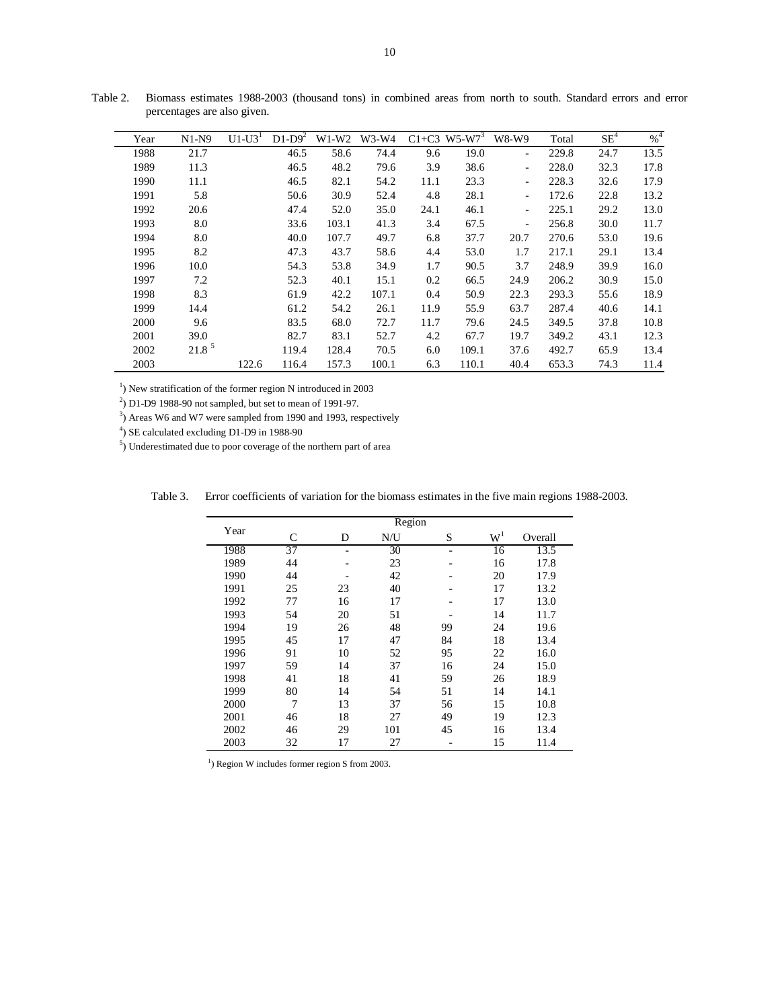| Year | $N1-N9$           | $U1-U3'$ | $D1-D9^2$ | $W1-W2$ | $W3-W4$ |      | $C1+C3$ W5-W7 <sup>3</sup> | W8-W9                    | Total | SE <sup>4</sup> | $\%^{4}$ |
|------|-------------------|----------|-----------|---------|---------|------|----------------------------|--------------------------|-------|-----------------|----------|
| 1988 | 21.7              |          | 46.5      | 58.6    | 74.4    | 9.6  | 19.0                       | $\overline{\phantom{a}}$ | 229.8 | 24.7            | 13.5     |
| 1989 | 11.3              |          | 46.5      | 48.2    | 79.6    | 3.9  | 38.6                       | ۰.                       | 228.0 | 32.3            | 17.8     |
| 1990 | 11.1              |          | 46.5      | 82.1    | 54.2    | 11.1 | 23.3                       | ٠                        | 228.3 | 32.6            | 17.9     |
| 1991 | 5.8               |          | 50.6      | 30.9    | 52.4    | 4.8  | 28.1                       | $\overline{\phantom{0}}$ | 172.6 | 22.8            | 13.2     |
| 1992 | 20.6              |          | 47.4      | 52.0    | 35.0    | 24.1 | 46.1                       | ۰.                       | 225.1 | 29.2            | 13.0     |
| 1993 | 8.0               |          | 33.6      | 103.1   | 41.3    | 3.4  | 67.5                       | ۰                        | 256.8 | 30.0            | 11.7     |
| 1994 | 8.0               |          | 40.0      | 107.7   | 49.7    | 6.8  | 37.7                       | 20.7                     | 270.6 | 53.0            | 19.6     |
| 1995 | 8.2               |          | 47.3      | 43.7    | 58.6    | 4.4  | 53.0                       | 1.7                      | 217.1 | 29.1            | 13.4     |
| 1996 | 10.0              |          | 54.3      | 53.8    | 34.9    | 1.7  | 90.5                       | 3.7                      | 248.9 | 39.9            | 16.0     |
| 1997 | 7.2               |          | 52.3      | 40.1    | 15.1    | 0.2  | 66.5                       | 24.9                     | 206.2 | 30.9            | 15.0     |
| 1998 | 8.3               |          | 61.9      | 42.2    | 107.1   | 0.4  | 50.9                       | 22.3                     | 293.3 | 55.6            | 18.9     |
| 1999 | 14.4              |          | 61.2      | 54.2    | 26.1    | 11.9 | 55.9                       | 63.7                     | 287.4 | 40.6            | 14.1     |
| 2000 | 9.6               |          | 83.5      | 68.0    | 72.7    | 11.7 | 79.6                       | 24.5                     | 349.5 | 37.8            | 10.8     |
| 2001 | 39.0              |          | 82.7      | 83.1    | 52.7    | 4.2  | 67.7                       | 19.7                     | 349.2 | 43.1            | 12.3     |
| 2002 | 21.8 <sup>5</sup> |          | 119.4     | 128.4   | 70.5    | 6.0  | 109.1                      | 37.6                     | 492.7 | 65.9            | 13.4     |
| 2003 |                   | 122.6    | 116.4     | 157.3   | 100.1   | 6.3  | 110.1                      | 40.4                     | 653.3 | 74.3            | 11.4     |

Table 2. Biomass estimates 1988-2003 (thousand tons) in combined areas from north to south. Standard errors and error percentages are also given.

 $1)$  New stratification of the former region N introduced in 2003

 $^{2}$ ) D1-D9 1988-90 not sampled, but set to mean of 1991-97.

3) Areas W6 and W7 were sampled from 1990 and 1993, respectively

4) SE calculated excluding D1-D9 in 1988-90

 $\overline{\phantom{a}}$ 

5) Underestimated due to poor coverage of the northern part of area

| Year |    |    | Region |                          |       |         |
|------|----|----|--------|--------------------------|-------|---------|
|      | C  | D  | N/U    | S                        | $W^1$ | Overall |
| 1988 | 37 | -  | 30     | $\overline{\phantom{a}}$ | 16    | 13.5    |
| 1989 | 44 | -  | 23     | -                        | 16    | 17.8    |
| 1990 | 44 | -  | 42     | -                        | 20    | 17.9    |
| 1991 | 25 | 23 | 40     |                          | 17    | 13.2    |
| 1992 | 77 | 16 | 17     | -                        | 17    | 13.0    |
| 1993 | 54 | 20 | 51     |                          | 14    | 11.7    |
| 1994 | 19 | 26 | 48     | 99                       | 24    | 19.6    |
| 1995 | 45 | 17 | 47     | 84                       | 18    | 13.4    |
| 1996 | 91 | 10 | 52     | 95                       | 22    | 16.0    |
| 1997 | 59 | 14 | 37     | 16                       | 24    | 15.0    |
| 1998 | 41 | 18 | 41     | 59                       | 26    | 18.9    |
| 1999 | 80 | 14 | 54     | 51                       | 14    | 14.1    |
| 2000 | 7  | 13 | 37     | 56                       | 15    | 10.8    |
| 2001 | 46 | 18 | 27     | 49                       | 19    | 12.3    |
| 2002 | 46 | 29 | 101    | 45                       | 16    | 13.4    |
| 2003 | 32 | 17 | 27     |                          | 15    | 11.4    |

Table 3. Error coefficients of variation for the biomass estimates in the five main regions 1988-2003.

 $<sup>1</sup>$ ) Region W includes former region S from 2003.</sup>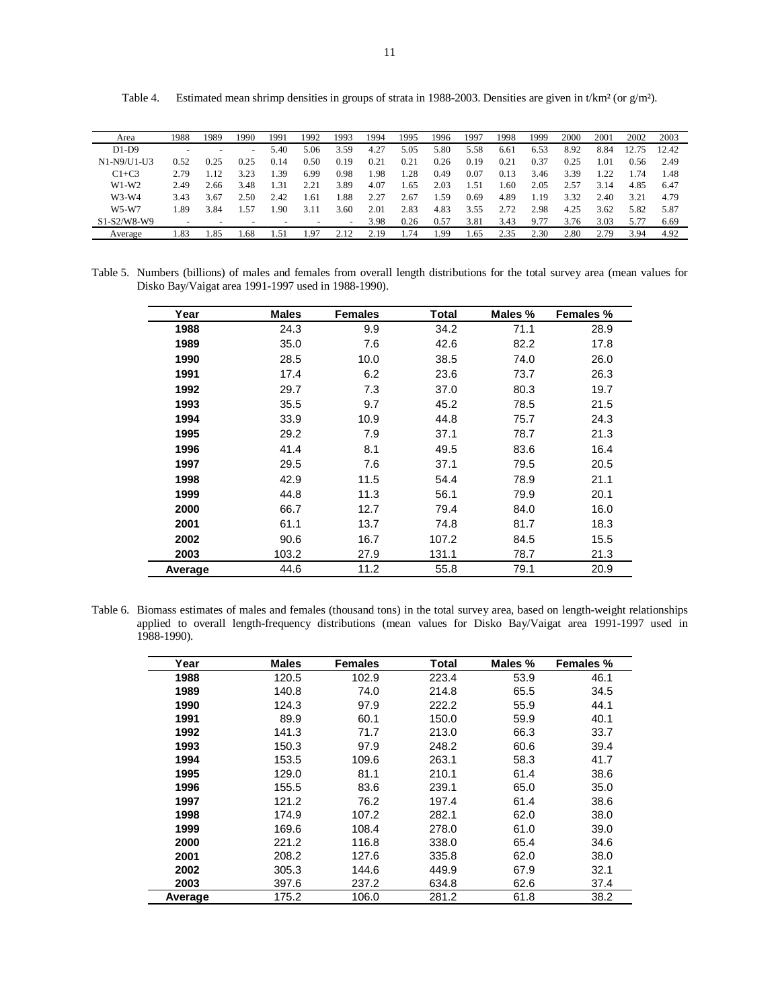| Area        | 1988   | 1989                     | 1990 | 1991   | 1992                     | 1993   | 1994 | 1995 | 1996 | 1997   | 1998 | 1999 | 2000 | 2001 | 2002 | 2003  |
|-------------|--------|--------------------------|------|--------|--------------------------|--------|------|------|------|--------|------|------|------|------|------|-------|
| $D1-D9$     |        |                          | -    | 5.40   | 5.06                     | 3.59   | 4.27 | 5.05 | 5.80 | 5.58   | 6.61 | 6.53 | 8.92 | 8.84 |      | 12.42 |
| N1-N9/U1-U3 | 0.52   | 0.25                     | 0.25 | 0.14   | 0.50                     | 0.19   | 0.21 | 0.21 | 0.26 | 0.19   | 0.21 | 0.37 | 0.25 | .01  | 0.56 | 2.49  |
| $C1+C3$     | 2.79   | .12                      | 3.23 | -39    | 6.99                     | 0.98   | 1.98 | 1.28 | 0.49 | 0.07   | 0.13 | 3.46 | 3.39 | 1.22 | .74  | 1.48  |
| $W1-W2$     | 2.49   | 2.66                     | 3.48 | 1.31   | 2.21                     | 3.89   | 4.07 | .65  | 2.03 | $-.51$ | .60  | 2.05 | 2.57 | 3.14 | 4.85 | 6.47  |
| $W3-W4$     | 3.43   | 3.67                     | 2.50 | 2.42   | 1.61                     | 1.88   | 2.27 | 2.67 | .59  | 0.69   | 4.89 | 1.19 | 3.32 | 2.40 | 3.21 | 4.79  |
| $W5-W7$     | .89    | 3.84                     | 4.57 | .90    | 3.11                     | 3.60   | 2.01 | 2.83 | 4.83 | 3.55   | 2.72 | 2.98 | 4.25 | 3.62 | 5.82 | 5.87  |
| S1-S2/W8-W9 |        | $\overline{\phantom{0}}$ | -    | -      | $\overline{\phantom{0}}$ | $\sim$ | 3.98 | 0.26 | 0.57 | 3.81   | 3.43 | 9.77 | 3.76 | 3.03 | 5.77 | 6.69  |
| Average     | . . 83 | .85                      | .68  | . . 51 | L.97                     | 2.12   | 2.19 | .74  | .99  | .65    | 2.35 | 2.30 | 2.80 | 2.79 | 3.94 | 4.92  |

Table 4. Estimated mean shrimp densities in groups of strata in 1988-2003. Densities are given in t/km² (or g/m²).

Table 5. Numbers (billions) of males and females from overall length distributions for the total survey area (mean values for Disko Bay/Vaigat area 1991-1997 used in 1988-1990).

| Year    | <b>Males</b> | <b>Females</b> | <b>Total</b> | Males % | Females % |
|---------|--------------|----------------|--------------|---------|-----------|
| 1988    | 24.3         | 9.9            | 34.2         | 71.1    | 28.9      |
| 1989    | 35.0         | 7.6            | 42.6         | 82.2    | 17.8      |
| 1990    | 28.5         | 10.0           | 38.5         | 74.0    | 26.0      |
| 1991    | 17.4         | 6.2            | 23.6         | 73.7    | 26.3      |
| 1992    | 29.7         | 7.3            | 37.0         | 80.3    | 19.7      |
| 1993    | 35.5         | 9.7            | 45.2         | 78.5    | 21.5      |
| 1994    | 33.9         | 10.9           | 44.8         | 75.7    | 24.3      |
| 1995    | 29.2         | 7.9            | 37.1         | 78.7    | 21.3      |
| 1996    | 41.4         | 8.1            | 49.5         | 83.6    | 16.4      |
| 1997    | 29.5         | 7.6            | 37.1         | 79.5    | 20.5      |
| 1998    | 42.9         | 11.5           | 54.4         | 78.9    | 21.1      |
| 1999    | 44.8         | 11.3           | 56.1         | 79.9    | 20.1      |
| 2000    | 66.7         | 12.7           | 79.4         | 84.0    | 16.0      |
| 2001    | 61.1         | 13.7           | 74.8         | 81.7    | 18.3      |
| 2002    | 90.6         | 16.7           | 107.2        | 84.5    | 15.5      |
| 2003    | 103.2        | 27.9           | 131.1        | 78.7    | 21.3      |
| Average | 44.6         | 11.2           | 55.8         | 79.1    | 20.9      |

Table 6. Biomass estimates of males and females (thousand tons) in the total survey area, based on length-weight relationships applied to overall length-frequency distributions (mean values for Disko Bay/Vaigat area 1991-1997 used in 1988-1990).

| Year    | <b>Males</b> | <b>Females</b> | Total | Males % | Females % |
|---------|--------------|----------------|-------|---------|-----------|
| 1988    | 120.5        | 102.9          | 223.4 | 53.9    | 46.1      |
| 1989    | 140.8        | 74.0           | 214.8 | 65.5    | 34.5      |
| 1990    | 124.3        | 97.9           | 222.2 | 55.9    | 44.1      |
| 1991    | 89.9         | 60.1           | 150.0 | 59.9    | 40.1      |
| 1992    | 141.3        | 71.7           | 213.0 | 66.3    | 33.7      |
| 1993    | 150.3        | 97.9           | 248.2 | 60.6    | 39.4      |
| 1994    | 153.5        | 109.6          | 263.1 | 58.3    | 41.7      |
| 1995    | 129.0        | 81.1           | 210.1 | 61.4    | 38.6      |
| 1996    | 155.5        | 83.6           | 239.1 | 65.0    | 35.0      |
| 1997    | 121.2        | 76.2           | 197.4 | 61.4    | 38.6      |
| 1998    | 174.9        | 107.2          | 282.1 | 62.0    | 38.0      |
| 1999    | 169.6        | 108.4          | 278.0 | 61.0    | 39.0      |
| 2000    | 221.2        | 116.8          | 338.0 | 65.4    | 34.6      |
| 2001    | 208.2        | 127.6          | 335.8 | 62.0    | 38.0      |
| 2002    | 305.3        | 144.6          | 449.9 | 67.9    | 32.1      |
| 2003    | 397.6        | 237.2          | 634.8 | 62.6    | 37.4      |
| Average | 175.2        | 106.0          | 281.2 | 61.8    | 38.2      |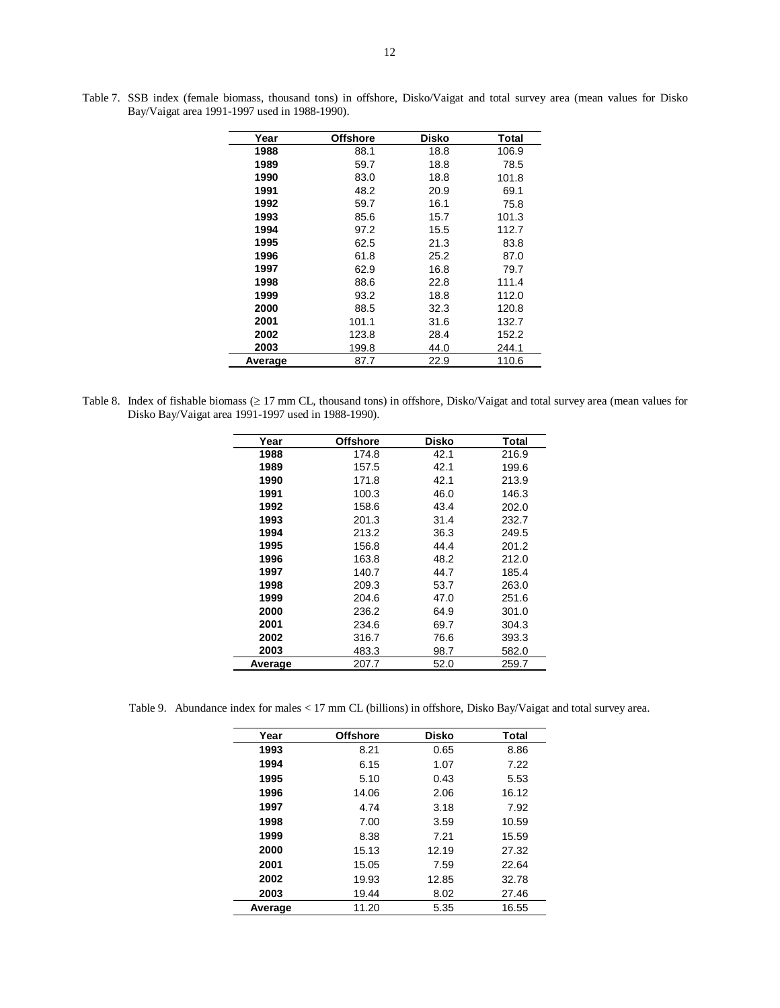| Year    | <b>Offshore</b> | Disko | Total |
|---------|-----------------|-------|-------|
| 1988    | 88.1            | 18.8  | 106.9 |
| 1989    | 59.7            | 18.8  | 78.5  |
| 1990    | 83.0            | 18.8  | 101.8 |
| 1991    | 48.2            | 20.9  | 69.1  |
| 1992    | 59.7            | 16.1  | 75.8  |
| 1993    | 85.6            | 15.7  | 101.3 |
| 1994    | 97.2            | 15.5  | 112.7 |
| 1995    | 62.5            | 21.3  | 83.8  |
| 1996    | 61.8            | 25.2  | 87.0  |
| 1997    | 62.9            | 16.8  | 79.7  |
| 1998    | 88.6            | 22.8  | 111.4 |
| 1999    | 93.2            | 18.8  | 112.0 |
| 2000    | 88.5            | 32.3  | 120.8 |
| 2001    | 101.1           | 31.6  | 132.7 |
| 2002    | 123.8           | 28.4  | 152.2 |
| 2003    | 199.8           | 44.0  | 244.1 |
| Average | 87.7            | 22.9  | 110.6 |

Table 7. SSB index (female biomass, thousand tons) in offshore, Disko/Vaigat and total survey area (mean values for Disko Bay/Vaigat area 1991-1997 used in 1988-1990).

Table 8. Index of fishable biomass (≥ 17 mm CL, thousand tons) in offshore, Disko/Vaigat and total survey area (mean values for Disko Bay/Vaigat area 1991-1997 used in 1988-1990).

| Year    | <b>Offshore</b> | Disko | Total |
|---------|-----------------|-------|-------|
| 1988    | 174.8           | 42.1  | 216.9 |
| 1989    | 157.5           | 42.1  | 199.6 |
| 1990    | 171.8           | 42.1  | 213.9 |
| 1991    | 100.3           | 46.0  | 146.3 |
| 1992    | 158.6           | 43.4  | 202.0 |
| 1993    | 201.3           | 31.4  | 232.7 |
| 1994    | 213.2           | 36.3  | 249.5 |
| 1995    | 156.8           | 44.4  | 201.2 |
| 1996    | 163.8           | 48.2  | 212.0 |
| 1997    | 140.7           | 44.7  | 185.4 |
| 1998    | 209.3           | 53.7  | 263.0 |
| 1999    | 204.6           | 47.0  | 251.6 |
| 2000    | 236.2           | 64.9  | 301.0 |
| 2001    | 234.6           | 69.7  | 304.3 |
| 2002    | 316.7           | 76.6  | 393.3 |
| 2003    | 483.3           | 98.7  | 582.0 |
| Average | 207.7           | 52.0  | 259.7 |

Table 9. Abundance index for males < 17 mm CL (billions) in offshore, Disko Bay/Vaigat and total survey area.

| Year    | <b>Offshore</b> | <b>Disko</b> | <b>Total</b> |
|---------|-----------------|--------------|--------------|
| 1993    | 8.21            | 0.65         | 8.86         |
| 1994    | 6.15            | 1.07         | 7.22         |
| 1995    | 5.10            | 0.43         | 5.53         |
| 1996    | 14.06           | 2.06         | 16.12        |
| 1997    | 4.74            | 3.18         | 7.92         |
| 1998    | 7.00            | 3.59         | 10.59        |
| 1999    | 8.38            | 7.21         | 15.59        |
| 2000    | 15.13           | 12.19        | 27.32        |
| 2001    | 15.05           | 7.59         | 22.64        |
| 2002    | 19.93           | 12.85        | 32.78        |
| 2003    | 19.44           | 8.02         | 27.46        |
| Average | 11.20           | 5.35         | 16.55        |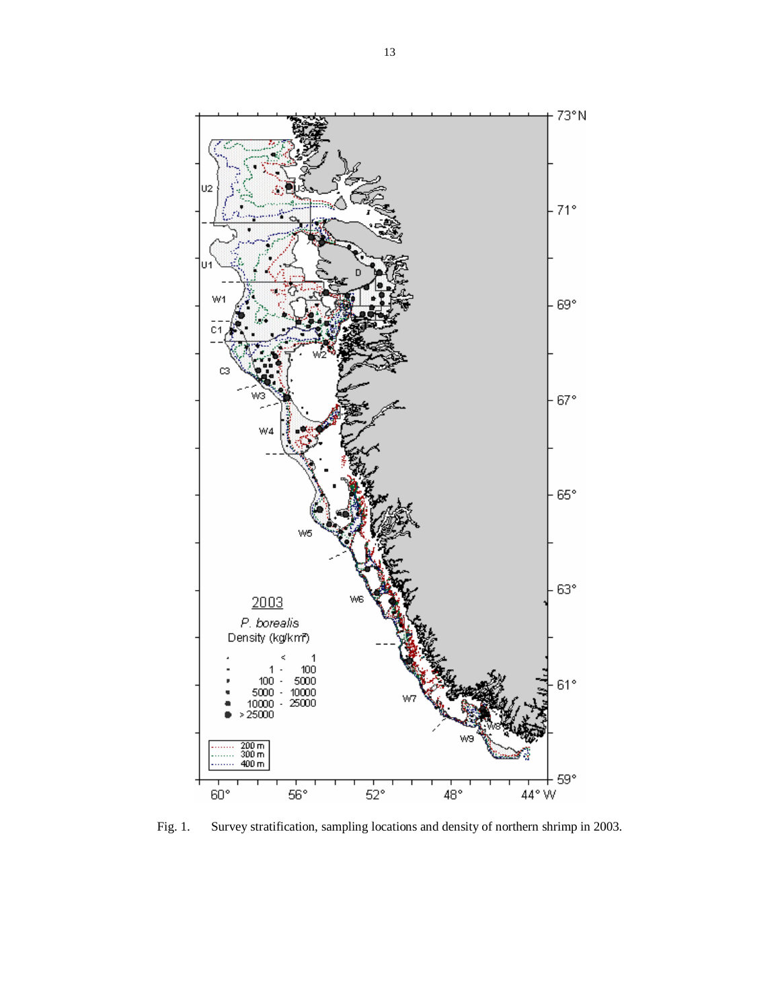

Fig. 1. Survey stratification, sampling locations and density of northern shrimp in 2003.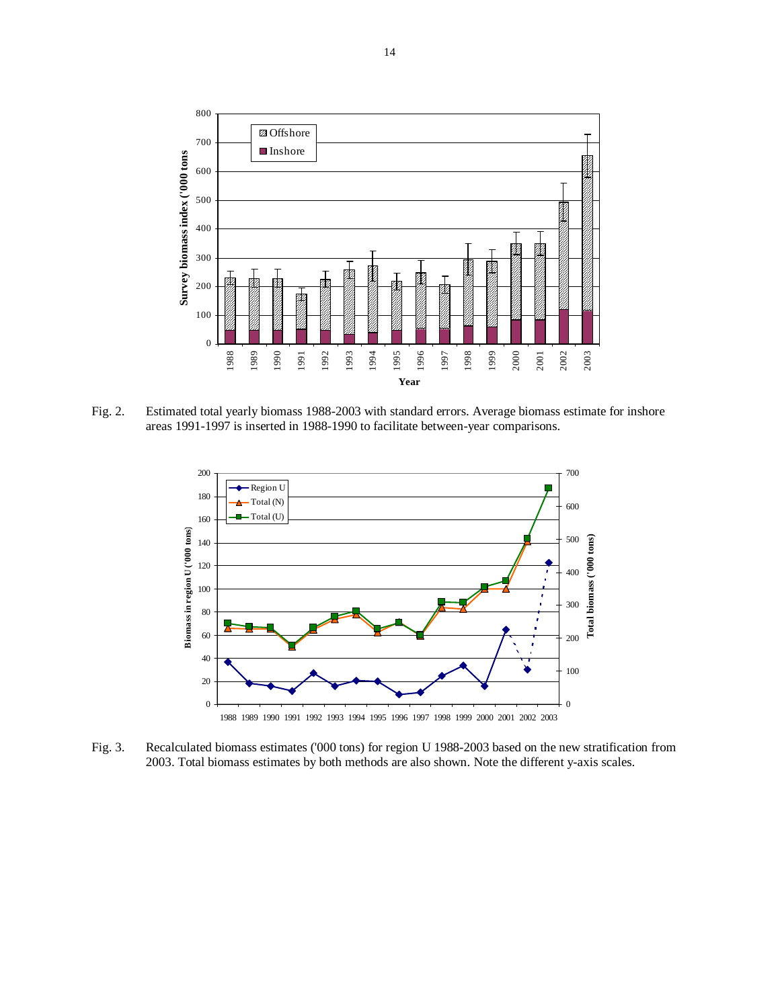

Fig. 2. Estimated total yearly biomass 1988-2003 with standard errors. Average biomass estimate for inshore areas 1991-1997 is inserted in 1988-1990 to facilitate between-year comparisons.



Fig. 3. Recalculated biomass estimates ('000 tons) for region U 1988-2003 based on the new stratification from 2003. Total biomass estimates by both methods are also shown. Note the different y-axis scales.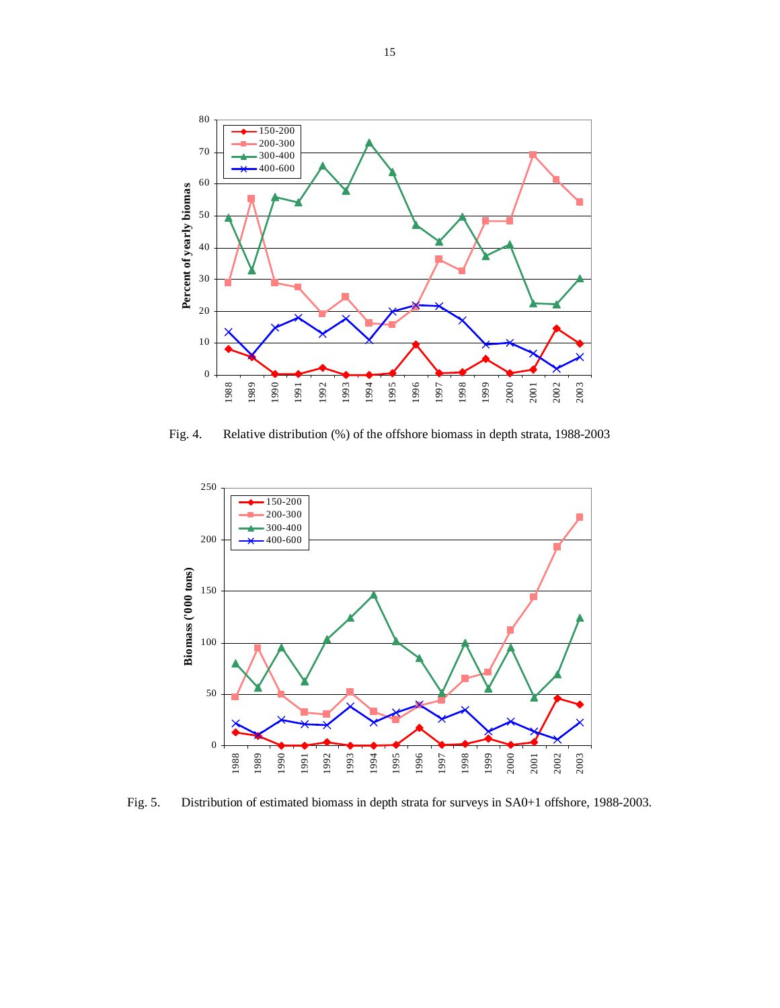

Fig. 4. Relative distribution (%) of the offshore biomass in depth strata, 1988-2003



Fig. 5. Distribution of estimated biomass in depth strata for surveys in SA0+1 offshore, 1988-2003.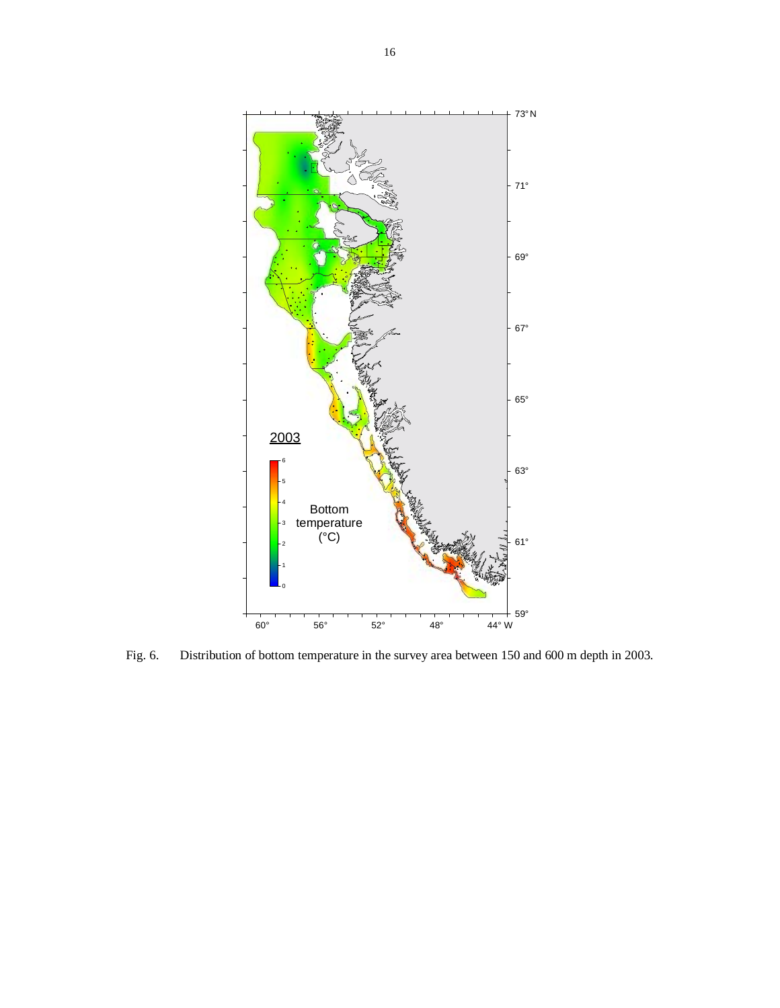

Fig. 6. Distribution of bottom temperature in the survey area between 150 and 600 m depth in 2003.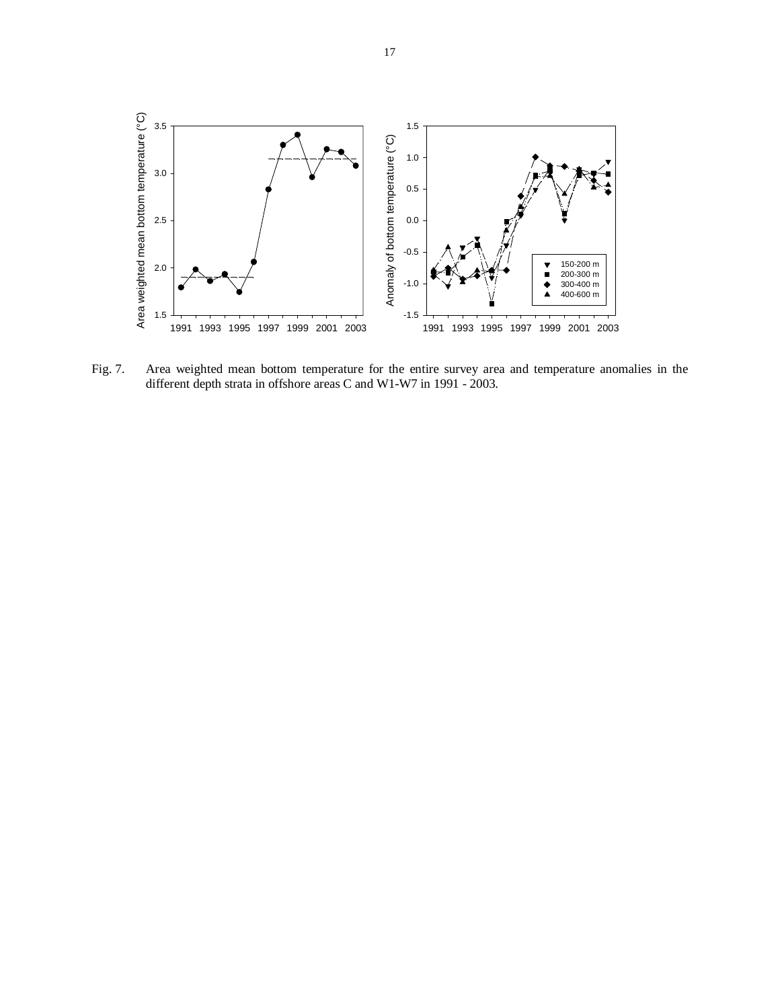

Fig. 7. Area weighted mean bottom temperature for the entire survey area and temperature anomalies in the different depth strata in offshore areas C and W1-W7 in 1991 - 2003.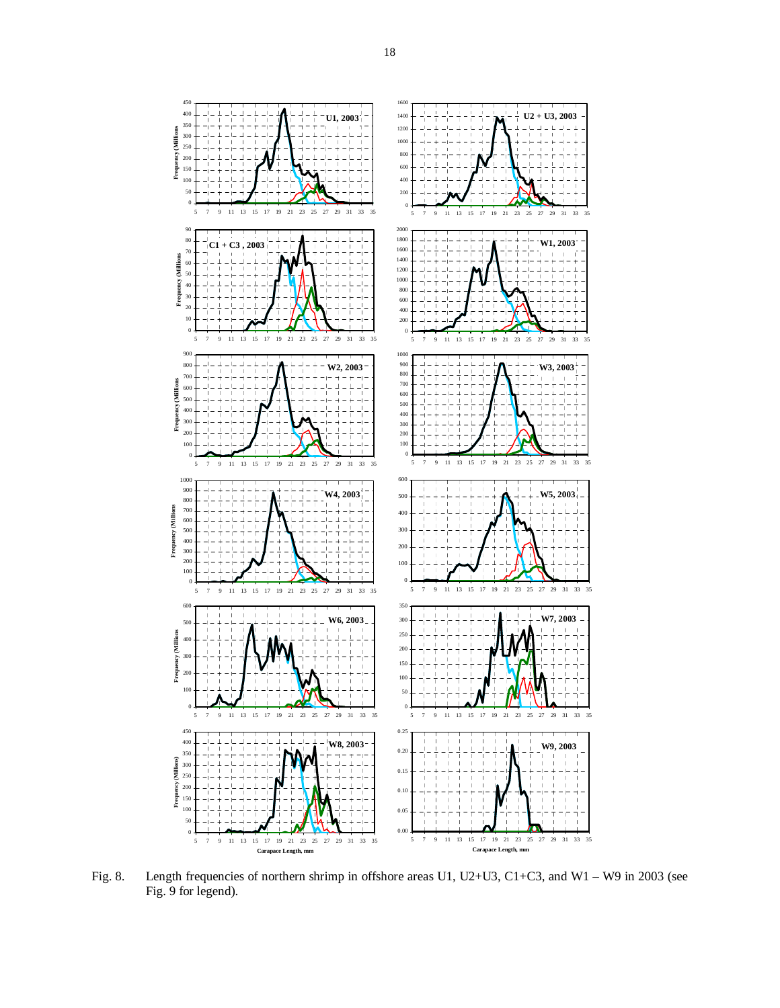

Fig. 8. Length frequencies of northern shrimp in offshore areas U1, U2+U3, C1+C3, and W1 – W9 in 2003 (see Fig. 9 for legend).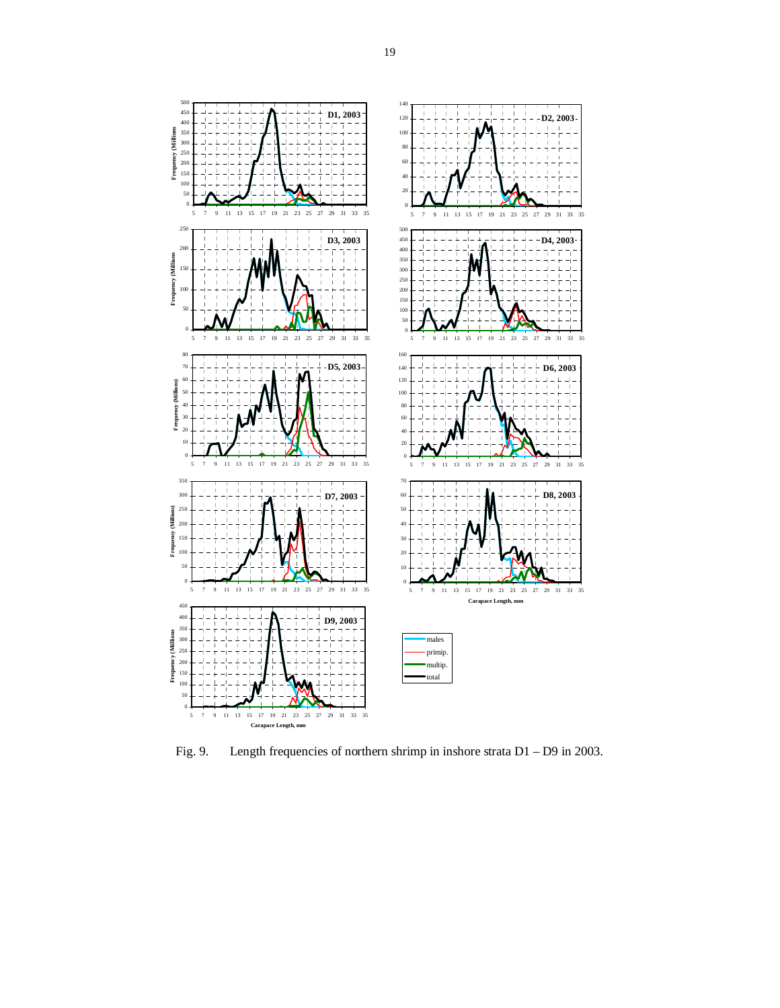

Fig. 9. Length frequencies of northern shrimp in inshore strata D1 – D9 in 2003.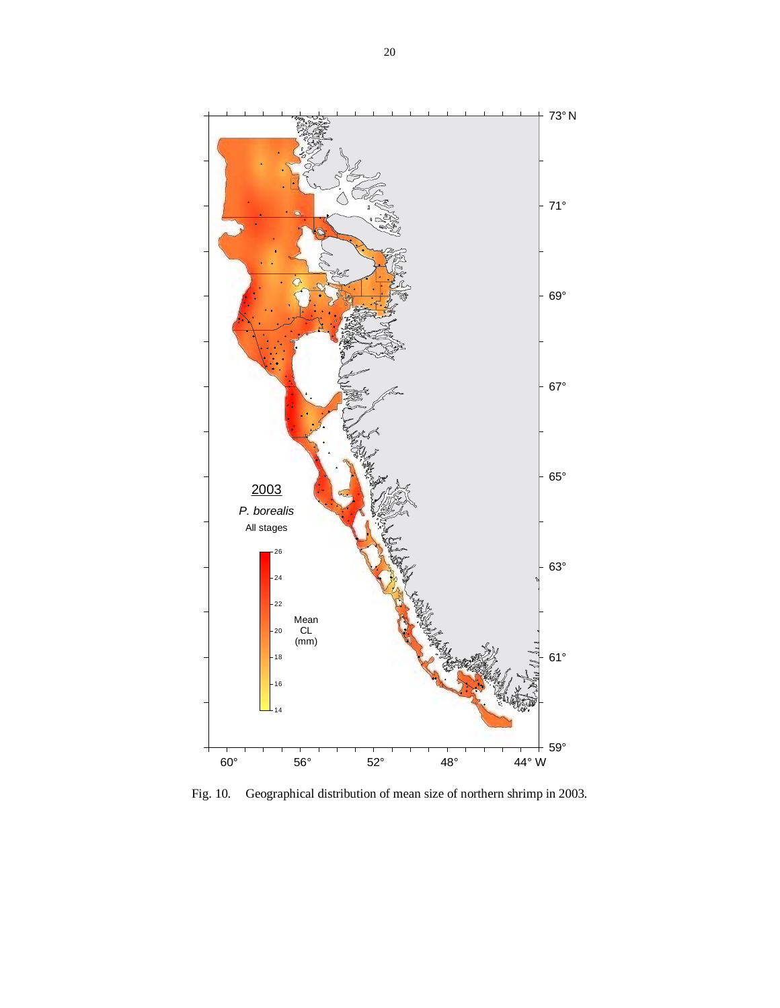

Fig. 10. Geographical distribution of mean size of northern shrimp in 2003.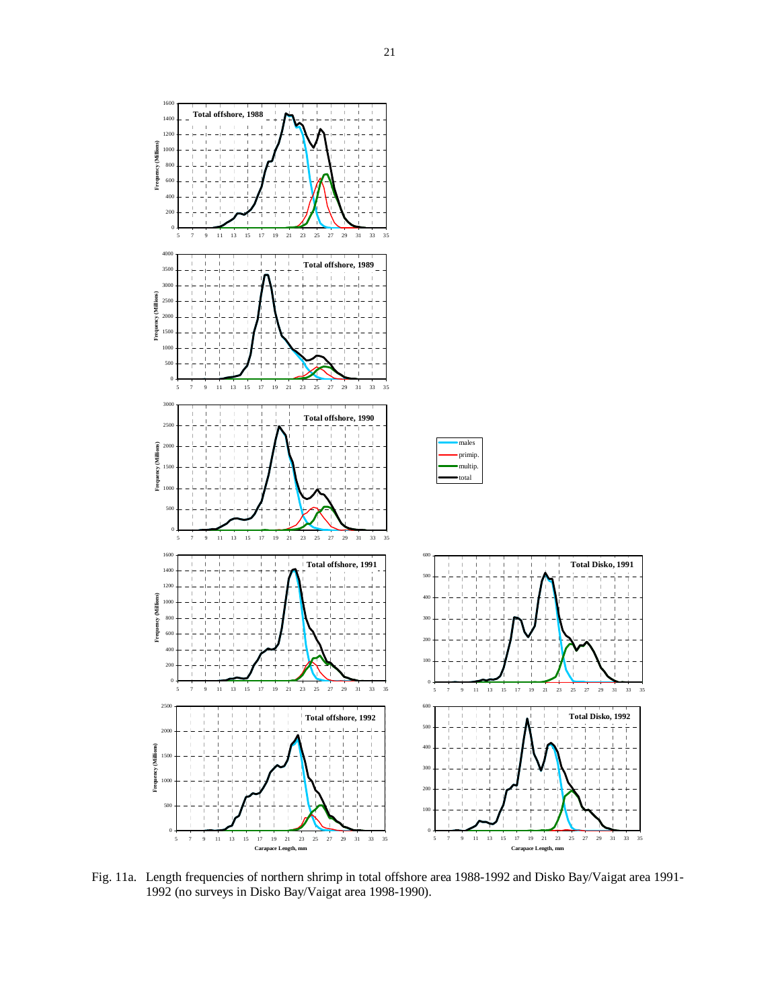

Fig. 11a. Length frequencies of northern shrimp in total offshore area 1988-1992 and Disko Bay/Vaigat area 1991- 1992 (no surveys in Disko Bay/Vaigat area 1998-1990).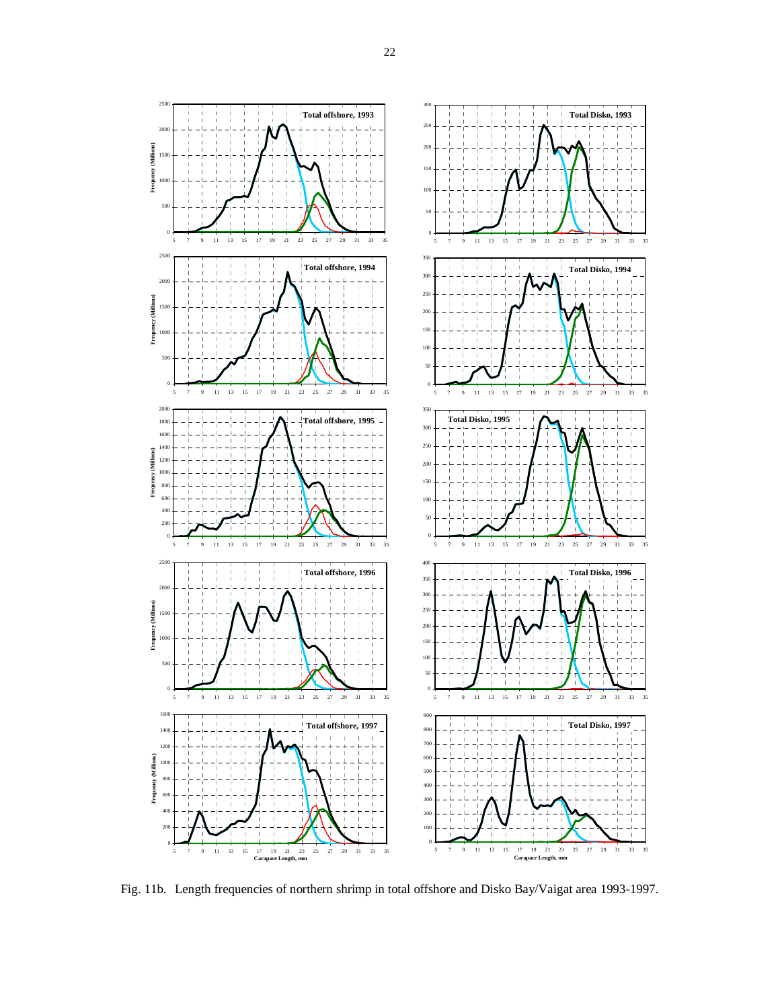

Fig. 11b. Length frequencies of northern shrimp in total offshore and Disko Bay/Vaigat area 1993-1997.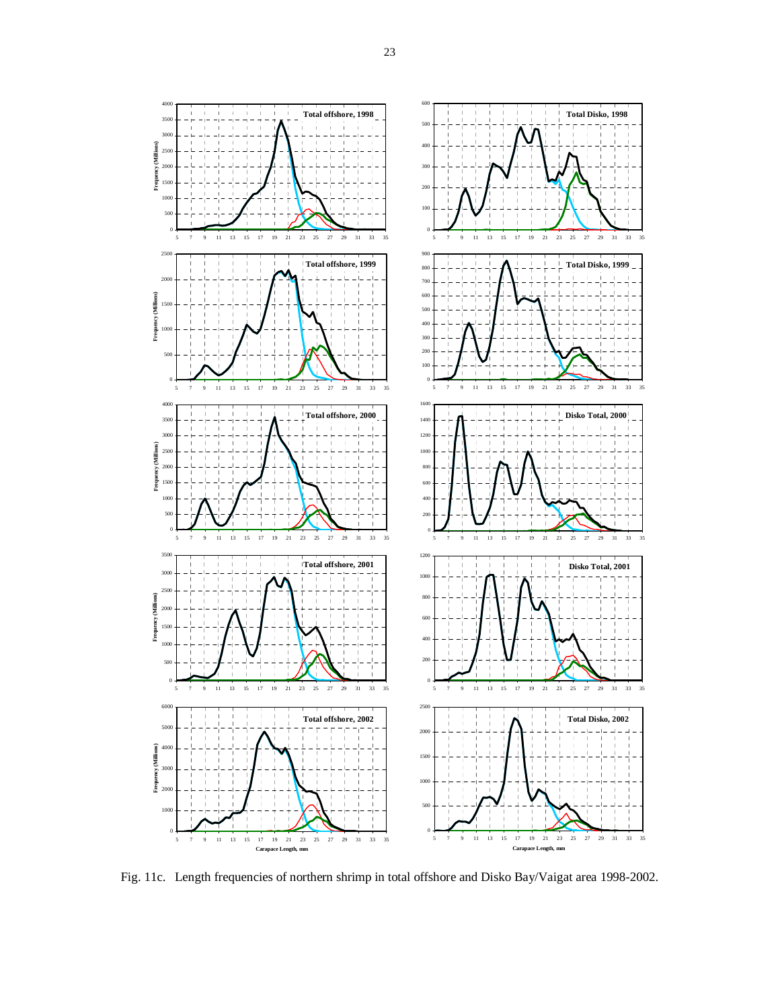

Fig. 11c. Length frequencies of northern shrimp in total offshore and Disko Bay/Vaigat area 1998-2002.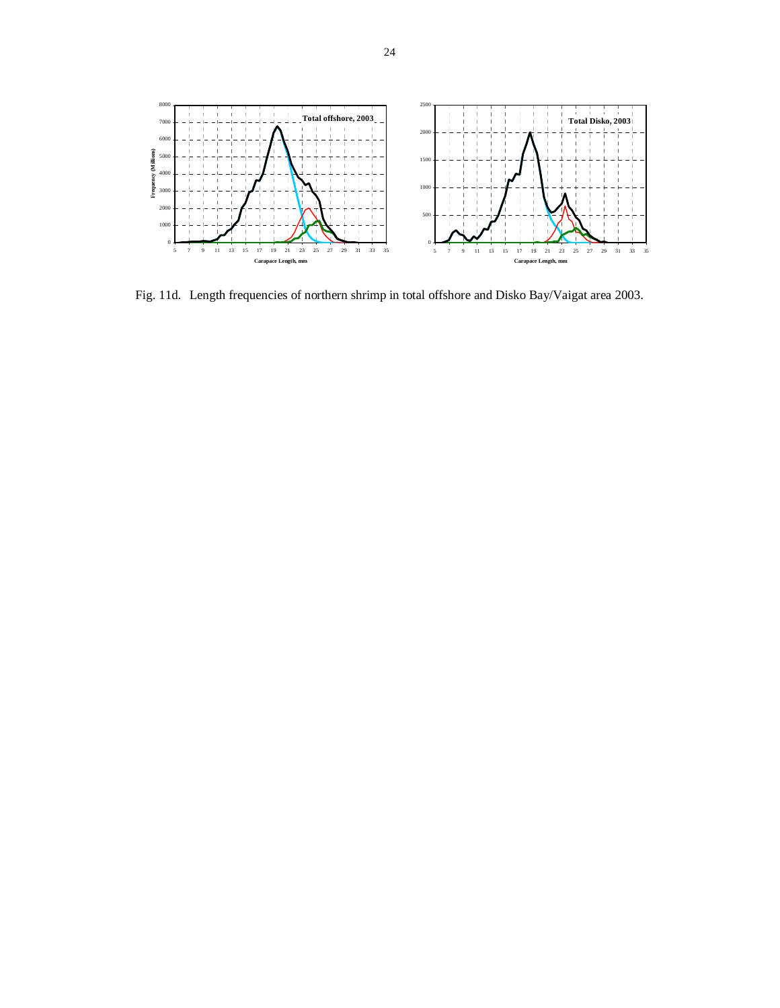

Fig. 11d. Length frequencies of northern shrimp in total offshore and Disko Bay/Vaigat area 2003.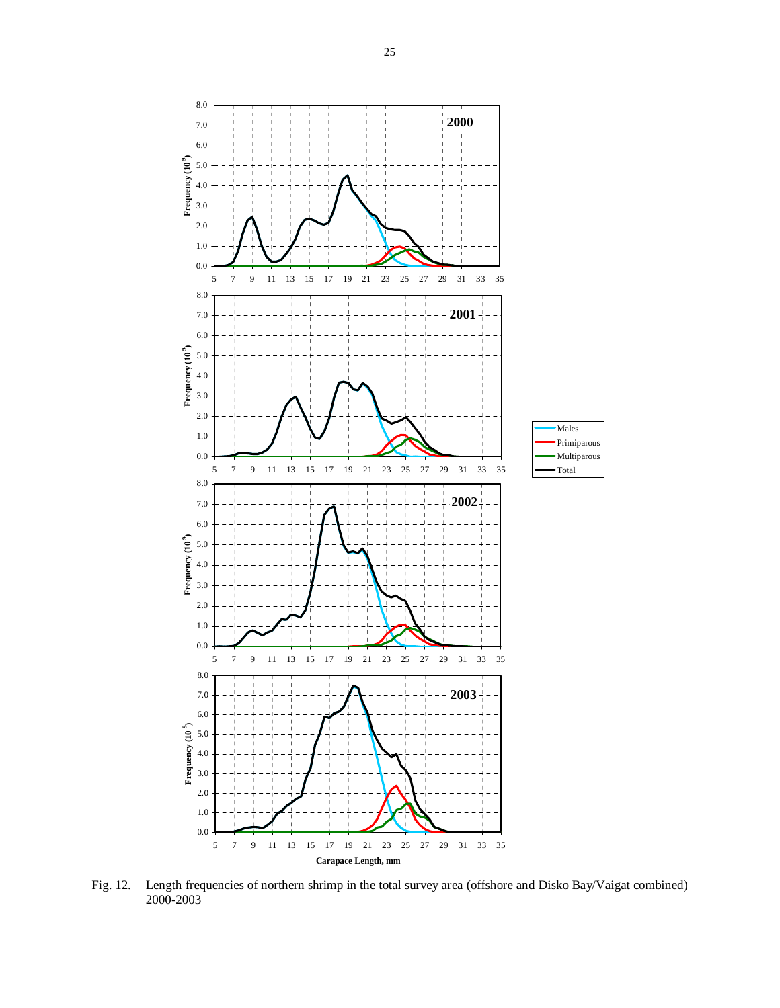

Fig. 12. Length frequencies of northern shrimp in the total survey area (offshore and Disko Bay/Vaigat combined)  $2000 - 2003$